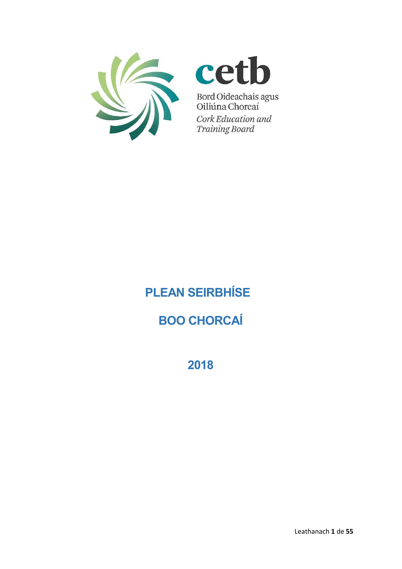



Bord Oideachais agus<br>Oiliúna Chorcaí Cork Education and **Training Board** 

# **PLEAN SEIRBHÍSE**

## **BOO CHORCAÍ**

**2018**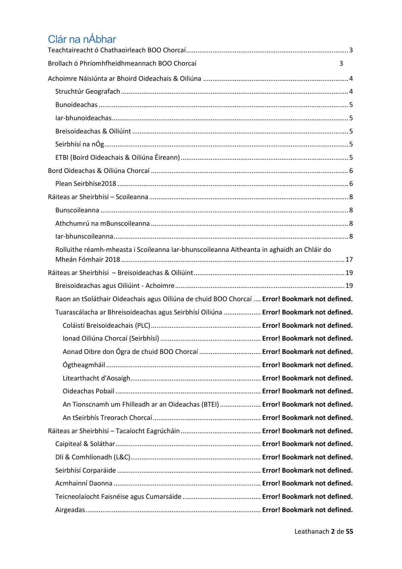## Clár na nÁbhar

| Brollach ó Phríomhfheidhmeannach BOO Chorcaí                                                  | 3 |
|-----------------------------------------------------------------------------------------------|---|
|                                                                                               |   |
|                                                                                               |   |
|                                                                                               |   |
|                                                                                               |   |
|                                                                                               |   |
|                                                                                               |   |
|                                                                                               |   |
|                                                                                               |   |
|                                                                                               |   |
|                                                                                               |   |
|                                                                                               |   |
|                                                                                               |   |
|                                                                                               |   |
| Rolluithe réamh-mheasta i Scoileanna Iar-bhunscoileanna Aitheanta in aghaidh an Chláir do     |   |
|                                                                                               |   |
|                                                                                               |   |
| Raon an tSoláthair Oideachais agus Oiliúna de chuid BOO Chorcaí  Error! Bookmark not defined. |   |
| Tuarascálacha ar Bhreisoideachas agus Seirbhísí Oiliúna  Error! Bookmark not defined.         |   |
|                                                                                               |   |
|                                                                                               |   |
| Aonad Oibre don Ógra de chuid BOO Chorcaí  Error! Bookmark not defined.                       |   |
|                                                                                               |   |
|                                                                                               |   |
|                                                                                               |   |
| An Tionscnamh um Fhilleadh ar an Oideachas (BTEI)  Error! Bookmark not defined.               |   |
|                                                                                               |   |
|                                                                                               |   |
|                                                                                               |   |
|                                                                                               |   |
|                                                                                               |   |
|                                                                                               |   |
|                                                                                               |   |
|                                                                                               |   |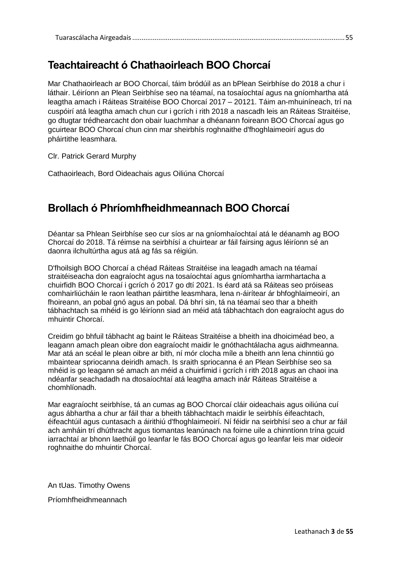## <span id="page-2-0"></span>**Teachtaireacht ó Chathaoirleach BOO Chorcaí**

Mar Chathaoirleach ar BOO Chorcaí, táim bródúil as an bPlean Seirbhíse do 2018 a chur i láthair. Léiríonn an Plean Seirbhíse seo na téamaí, na tosaíochtaí agus na gníomhartha atá leagtha amach i Ráiteas Straitéise BOO Chorcaí 2017 – 20121. Táim an-mhuiníneach, trí na cuspóirí atá leagtha amach chun cur i gcrích i rith 2018 a nascadh leis an Ráiteas Straitéise, go dtugtar trédhearcacht don obair luachmhar a dhéanann foireann BOO Chorcaí agus go gcuirtear BOO Chorcaí chun cinn mar sheirbhís roghnaithe d'fhoghlaimeoirí agus do pháirtithe leasmhara.

Clr. Patrick Gerard Murphy

Cathaoirleach, Bord Oideachais agus Oiliúna Chorcaí

## <span id="page-2-1"></span>**Brollach ó Phríomhfheidhmeannach BOO Chorcaí**

Déantar sa Phlean Seirbhíse seo cur síos ar na gníomhaíochtaí atá le déanamh ag BOO Chorcaí do 2018. Tá réimse na seirbhísí a chuirtear ar fáil fairsing agus léiríonn sé an daonra ilchultúrtha agus atá ag fás sa réigiún.

D'fhoilsigh BOO Chorcaí a chéad Ráiteas Straitéise ina leagadh amach na téamaí straitéiseacha don eagraíocht agus na tosaíochtaí agus gníomhartha iarmhartacha a chuirfidh BOO Chorcaí i gcrích ó 2017 go dtí 2021. Is éard atá sa Ráiteas seo próiseas comhairliúcháin le raon leathan páirtithe leasmhara, lena n-áirítear ár bhfoghlaimeoirí, an fhoireann, an pobal gnó agus an pobal. Dá bhrí sin, tá na téamaí seo thar a bheith tábhachtach sa mhéid is go léiríonn siad an méid atá tábhachtach don eagraíocht agus do mhuintir Chorcaí.

Creidim go bhfuil tábhacht ag baint le Ráiteas Straitéise a bheith ina dhoiciméad beo, a leagann amach plean oibre don eagraíocht maidir le gnóthachtálacha agus aidhmeanna. Mar atá an scéal le plean oibre ar bith, ní mór clocha míle a bheith ann lena chinntiú go mbaintear spriocanna deiridh amach. Is sraith spriocanna é an Plean Seirbhíse seo sa mhéid is go leagann sé amach an méid a chuirfimid i gcrích i rith 2018 agus an chaoi ina ndéanfar seachadadh na dtosaíochtaí atá leagtha amach inár Ráiteas Straitéise a chomhlíonadh.

Mar eagraíocht seirbhíse, tá an cumas ag BOO Chorcaí cláir oideachais agus oiliúna cuí agus ábhartha a chur ar fáil thar a bheith tábhachtach maidir le seirbhís éifeachtach, éifeachtúil agus cuntasach a áirithiú d'fhoghlaimeoirí. Ní féidir na seirbhísí seo a chur ar fáil ach amháin trí dhúthracht agus tiomantas leanúnach na foirne uile a chinntíonn trína gcuid iarrachtaí ar bhonn laethúil go leanfar le fás BOO Chorcaí agus go leanfar leis mar oideoir roghnaithe do mhuintir Chorcaí.

An tUas. Timothy Owens

Príomhfheidhmeannach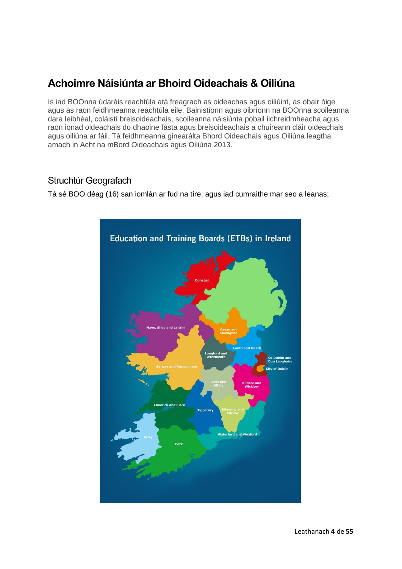## <span id="page-3-0"></span>**Achoimre Náisiúnta ar Bhoird Oideachais & Oiliúna**

Is iad BOOnna údaráis reachtúla atá freagrach as oideachas agus oiliúint, as obair óige agus as raon feidhmeanna reachtúla eile. Bainistíonn agus oibríonn na BOOnna scoileanna dara leibhéal, coláistí breisoideachais, scoileanna náisiúnta pobail ilchreidmheacha agus raon ionad oideachais do dhaoine fásta agus breisoideachais a chuireann cláir oideachais agus oiliúna ar fáil. Tá feidhmeanna ginearálta Bhord Oideachais agus Oiliúna leagtha amach in Acht na mBord Oideachais agus Oiliúna 2013.

## <span id="page-3-1"></span>Struchtúr Geografach

Tá sé BOO déag (16) san iomlán ar fud na tíre, agus iad cumraithe mar seo a leanas;

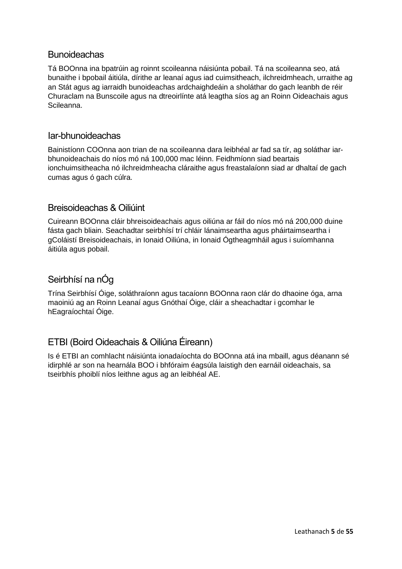## <span id="page-4-0"></span>**Bunoideachas**

Tá BOOnna ina bpatrúin ag roinnt scoileanna náisiúnta pobail. Tá na scoileanna seo, atá bunaithe i bpobail áitiúla, dírithe ar leanaí agus iad cuimsitheach, ilchreidmheach, urraithe ag an Stát agus ag iarraidh bunoideachas ardchaighdeáin a sholáthar do gach leanbh de réir Churaclam na Bunscoile agus na dtreoirlínte atá leagtha síos ag an Roinn Oideachais agus Scileanna.

## <span id="page-4-1"></span>Iar-bhunoideachas

Bainistíonn COOnna aon trian de na scoileanna dara leibhéal ar fad sa tír, ag soláthar iarbhunoideachais do níos mó ná 100,000 mac léinn. Feidhmíonn siad beartais ionchuimsitheacha nó ilchreidmheacha cláraithe agus freastalaíonn siad ar dhaltaí de gach cumas agus ó gach cúlra.

## <span id="page-4-2"></span>Breisoideachas & Oiliúint

Cuireann BOOnna cláir bhreisoideachais agus oiliúna ar fáil do níos mó ná 200,000 duine fásta gach bliain. Seachadtar seirbhísí trí chláir lánaimseartha agus pháirtaimseartha i gColáistí Breisoideachais, in Ionaid Oiliúna, in Ionaid Ógtheagmháil agus i suíomhanna áitiúla agus pobail.

## <span id="page-4-3"></span>Seirbhísí na nÓg

Trína Seirbhísí Óige, soláthraíonn agus tacaíonn BOOnna raon clár do dhaoine óga, arna maoiniú ag an Roinn Leanaí agus Gnóthaí Óige, cláir a sheachadtar i gcomhar le hEagraíochtaí Óige.

## <span id="page-4-4"></span>ETBI (Boird Oideachais & Oiliúna Éireann)

Is é ETBI an comhlacht náisiúnta ionadaíochta do BOOnna atá ina mbaill, agus déanann sé idirphlé ar son na hearnála BOO i bhfóraim éagsúla laistigh den earnáil oideachais, sa tseirbhís phoiblí níos leithne agus ag an leibhéal AE.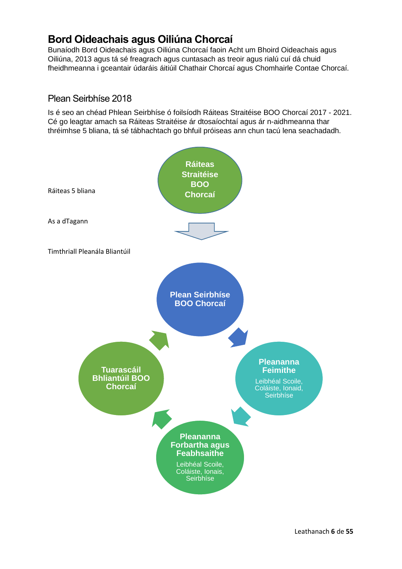## <span id="page-5-0"></span>**Bord Oideachais agus Oiliúna Chorcaí**

Bunaíodh Bord Oideachais agus Oiliúna Chorcaí faoin Acht um Bhoird Oideachais agus Oiliúna, 2013 agus tá sé freagrach agus cuntasach as treoir agus rialú cuí dá chuid fheidhmeanna i gceantair údaráis áitiúil Chathair Chorcaí agus Chomhairle Contae Chorcaí.

## <span id="page-5-1"></span>Plean Seirbhíse 2018

Is é seo an chéad Phlean Seirbhíse ó foilsíodh Ráiteas Straitéise BOO Chorcaí 2017 - 2021. Cé go leagtar amach sa Ráiteas Straitéise ár dtosaíochtaí agus ár n-aidhmeanna thar thréimhse 5 bliana, tá sé tábhachtach go bhfuil próiseas ann chun tacú lena seachadadh.

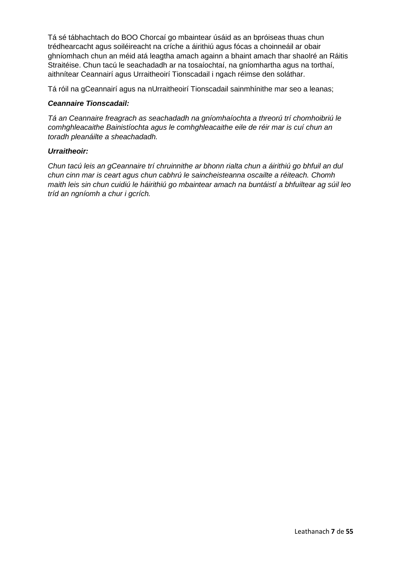Tá sé tábhachtach do BOO Chorcaí go mbaintear úsáid as an bpróiseas thuas chun trédhearcacht agus soiléireacht na críche a áirithiú agus fócas a choinneáil ar obair ghníomhach chun an méid atá leagtha amach againn a bhaint amach thar shaolré an Ráitis Straitéise. Chun tacú le seachadadh ar na tosaíochtaí, na gníomhartha agus na torthaí, aithnítear Ceannairí agus Urraitheoirí Tionscadail i ngach réimse den soláthar.

Tá róil na gCeannairí agus na nUrraitheoirí Tionscadail sainmhínithe mar seo a leanas;

#### *Ceannaire Tionscadail:*

*Tá an Ceannaire freagrach as seachadadh na gníomhaíochta a threorú trí chomhoibriú le comhghleacaithe Bainistíochta agus le comhghleacaithe eile de réir mar is cuí chun an toradh pleanáilte a sheachadadh.*

#### *Urraitheoir:*

*Chun tacú leis an gCeannaire trí chruinnithe ar bhonn rialta chun a áirithiú go bhfuil an dul chun cinn mar is ceart agus chun cabhrú le saincheisteanna oscailte a réiteach. Chomh maith leis sin chun cuidiú le háirithiú go mbaintear amach na buntáistí a bhfuiltear ag súil leo tríd an ngníomh a chur i gcrích.*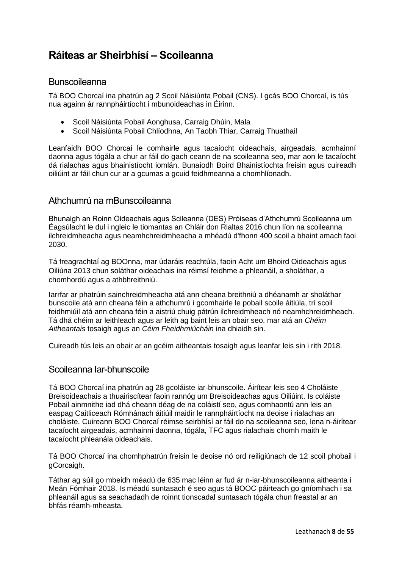## <span id="page-7-0"></span>**Ráiteas ar Sheirbhísí – Scoileanna**

## <span id="page-7-1"></span>Bunscoileanna

Tá BOO Chorcaí ina phatrún ag 2 Scoil Náisiúnta Pobail (CNS). I gcás BOO Chorcaí, is tús nua againn ár rannpháirtíocht i mbunoideachas in Éirinn.

- Scoil Náisiúnta Pobail Aonghusa, Carraig Dhúin, Mala
- Scoil Náisiúnta Pobail Chlíodhna, An Taobh Thiar, Carraig Thuathail

Leanfaidh BOO Chorcaí le comhairle agus tacaíocht oideachais, airgeadais, acmhainní daonna agus tógála a chur ar fáil do gach ceann de na scoileanna seo, mar aon le tacaíocht dá rialachas agus bhainistíocht iomlán. Bunaíodh Boird Bhainistíochta freisin agus cuireadh oiliúint ar fáil chun cur ar a gcumas a gcuid feidhmeanna a chomhlíonadh.

## <span id="page-7-2"></span>Athchumrú na mBunscoileanna

Bhunaigh an Roinn Oideachais agus Scileanna (DES) Próiseas d'Athchumrú Scoileanna um Éagsúlacht le dul i ngleic le tiomantas an Chláir don Rialtas 2016 chun líon na scoileanna ilchreidmheacha agus neamhchreidmheacha a mhéadú d'fhonn 400 scoil a bhaint amach faoi 2030.

Tá freagrachtaí ag BOOnna, mar údaráis reachtúla, faoin Acht um Bhoird Oideachais agus Oiliúna 2013 chun soláthar oideachais ina réimsí feidhme a phleanáil, a sholáthar, a chomhordú agus a athbhreithniú.

Iarrfar ar phatrúin sainchreidmheacha atá ann cheana breithniú a dhéanamh ar sholáthar bunscoile atá ann cheana féin a athchumrú i gcomhairle le pobail scoile áitiúla, trí scoil feidhmiúil atá ann cheana féin a aistriú chuig pátrún ilchreidmheach nó neamhchreidmheach. Tá dhá chéim ar leithleach agus ar leith ag baint leis an obair seo, mar atá an *Chéim Aitheantais* tosaigh agus an *Céim Fheidhmiúcháin* ina dhiaidh sin.

Cuireadh tús leis an obair ar an gcéim aitheantais tosaigh agus leanfar leis sin i rith 2018.

## <span id="page-7-3"></span>Scoileanna Iar-bhunscoile

Tá BOO Chorcaí ina phatrún ag 28 gcoláiste iar-bhunscoile. Áirítear leis seo 4 Choláiste Breisoideachais a thuairiscítear faoin rannóg um Breisoideachas agus Oiliúint. Is coláiste Pobail ainmnithe iad dhá cheann déag de na coláistí seo, agus comhaontú ann leis an easpag Caitliceach Rómhánach áitiúil maidir le rannpháirtíocht na deoise i rialachas an choláiste. Cuireann BOO Chorcaí réimse seirbhísí ar fáil do na scoileanna seo, lena n-áirítear tacaíocht airgeadais, acmhainní daonna, tógála, TFC agus rialachais chomh maith le tacaíocht phleanála oideachais.

Tá BOO Chorcaí ina chomhphatrún freisin le deoise nó ord reiligiúnach de 12 scoil phobail i gCorcaigh.

Táthar ag súil go mbeidh méadú de 635 mac léinn ar fud ár n-iar-bhunscoileanna aitheanta i Meán Fómhair 2018. Is méadú suntasach é seo agus tá BOOC páirteach go gníomhach i sa phleanáil agus sa seachadadh de roinnt tionscadal suntasach tógála chun freastal ar an bhfás réamh-mheasta.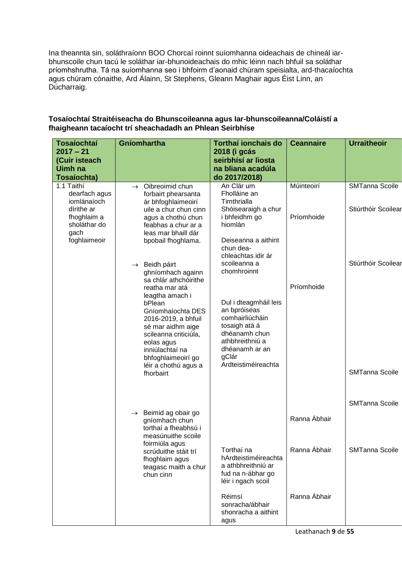Ina theannta sin, soláthraíonn BOO Chorcaí roinnt suíomhanna oideachais de chineál iarbhunscoile chun tacú le soláthar iar-bhunoideachais do mhic léinn nach bhfuil sa soláthar príomhshrutha. Tá na suíomhanna seo i bhfoirm d'aonaid chúram speisialta, ard-thacaíochta agus chúram cónaithe, Ard Álainn, St Stephens, Gleann Maghair agus Éist Linn, an Dúcharraig.

| <b>Tosaíochtaí</b>                                | Gníomhartha                                                                                                                                                                                        | <b>Torthaí ionchais do</b>                                                                                                                                      | <b>Ceannaire</b> | <b>Urraitheoir</b>    |
|---------------------------------------------------|----------------------------------------------------------------------------------------------------------------------------------------------------------------------------------------------------|-----------------------------------------------------------------------------------------------------------------------------------------------------------------|------------------|-----------------------|
| $2017 - 21$<br>(Cuir isteach                      |                                                                                                                                                                                                    | 2018 (i gcás<br>seirbhísí ar liosta                                                                                                                             |                  |                       |
| <b>Uimh na</b>                                    |                                                                                                                                                                                                    | na bliana acadúla                                                                                                                                               |                  |                       |
| Tosaíochta)                                       |                                                                                                                                                                                                    | do 2017/2018)                                                                                                                                                   |                  |                       |
| 1.1 Taithí<br>dearfach agus<br>iomlánaíoch        | $\rightarrow$ Oibreoimid chun<br>forbairt phearsanta<br>ár bhfoghlaimeoirí                                                                                                                         | An Clár um<br>Fholláine an<br>Timthrialla                                                                                                                       | Múinteoirí       | <b>SMTanna Scoile</b> |
| dírithe ar<br>fhoghlaim a<br>sholáthar do<br>gach | uile a chur chun cinn<br>agus a chothú chun<br>feabhas a chur ar a<br>leas mar bhaill dár                                                                                                          | Shóisearaigh a chur<br>i bhfeidhm go<br>hiomlán                                                                                                                 | Príomhoide       | Stiúrthóir Scoilear   |
| foghlaimeoir                                      | bpobail fhoghlama.                                                                                                                                                                                 | Deiseanna a aithint<br>chun dea-<br>chleachtas idir ár                                                                                                          |                  |                       |
|                                                   | $\rightarrow$ Beidh páirt<br>ghníomhach againn<br>sa chlár athchóirithe<br>reatha mar atá                                                                                                          | scoileanna a<br>chomhroinnt                                                                                                                                     | Príomhoide       | Stiúrthóir Scoilear   |
|                                                   | leagtha amach i<br>bPlean<br>Gníomhaíochta DES<br>2016-2019, a bhfuil<br>sé mar aidhm aige<br>scileanna criticiúla,<br>eolas agus<br>inniúlachtaí na<br>bhfoghlaimeoirí go<br>léir a chothú agus a | Dul i dteagmháil leis<br>an bpróiseas<br>comhairliúcháin<br>tosaigh atá á<br>dhéanamh chun<br>athbhreithniú a<br>dhéanamh ar an<br>gClár<br>Ardteistiméireachta |                  |                       |
|                                                   | fhorbairt                                                                                                                                                                                          |                                                                                                                                                                 |                  | <b>SMTanna Scoile</b> |
|                                                   |                                                                                                                                                                                                    |                                                                                                                                                                 |                  | SMTanna Scoile        |
|                                                   | $\rightarrow$ Beimid ag obair go<br>gníomhach chun<br>torthaí a fheabhsú i<br>measúnuithe scoile<br>foirmiúla agus                                                                                 |                                                                                                                                                                 | Ranna Ábhair     |                       |
|                                                   | scrúduithe stáit trí<br>fhoghlaim agus<br>teagasc maith a chur<br>chun cinn                                                                                                                        | Torthaí na<br>hArdteistiméireachta<br>a athbhreithniú ar<br>fud na n-ábhar go<br>léir i ngach scoil                                                             | Ranna Ábhair     | <b>SMTanna Scoile</b> |
|                                                   |                                                                                                                                                                                                    | Réimsí<br>sonracha/ábhair<br>shonracha a aithint<br>agus                                                                                                        | Ranna Ábhair     |                       |

#### **Tosaíochtaí Straitéiseacha do Bhunscoileanna agus Iar-bhunscoileanna/Coláistí a fhaigheann tacaíocht trí sheachadadh an Phlean Seirbhíse**

Leathanach **9** de **55**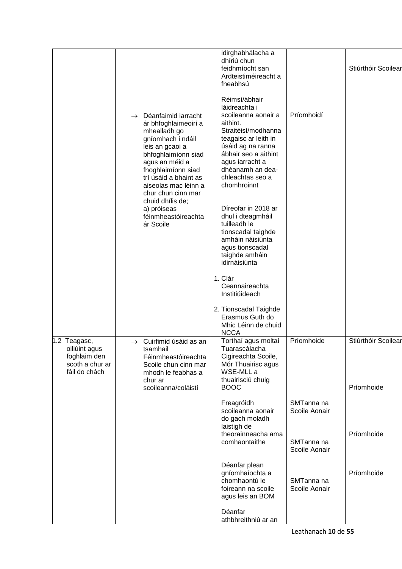|                                                                                   | Déanfaimid iarracht<br>$\rightarrow$<br>ár bhfoghlaimeoirí a<br>mhealladh go<br>gníomhach i ndáil<br>leis an gcaoi a<br>bhfoghlaimíonn siad<br>agus an méid a<br>fhoghlaimíonn siad<br>trí úsáid a bhaint as<br>aiseolas mac léinn a<br>chur chun cinn mar<br>chuid dhílis de;<br>a) próiseas<br>féinmheastóireachta<br>ár Scoile | idirghabhálacha a<br>dhíriú chun<br>feidhmíocht san<br>Ardteistiméireacht a<br>fheabhsú<br>Réimsí/ábhair<br>láidreachta i<br>scoileanna aonair a<br>aithint.<br>Straitéisí/modhanna<br>teagaisc ar leith in<br>úsáid ag na ranna<br>ábhair seo a aithint<br>agus iarracht a<br>dhéanamh an dea-<br>chleachtas seo a<br>chomhroinnt<br>Díreofar in 2018 ar<br>dhul i dteagmháil<br>tuilleadh le<br>tionscadal taighde<br>amháin náisiúnta<br>agus tionscadal<br>taighde amháin<br>idirnáisiúnta<br>1. Clár<br>Ceannaireachta<br>Institiúideach<br>2. Tionscadal Taighde | Príomhoidí                  | Stiúrthóir Scoilear               |
|-----------------------------------------------------------------------------------|-----------------------------------------------------------------------------------------------------------------------------------------------------------------------------------------------------------------------------------------------------------------------------------------------------------------------------------|------------------------------------------------------------------------------------------------------------------------------------------------------------------------------------------------------------------------------------------------------------------------------------------------------------------------------------------------------------------------------------------------------------------------------------------------------------------------------------------------------------------------------------------------------------------------|-----------------------------|-----------------------------------|
|                                                                                   |                                                                                                                                                                                                                                                                                                                                   | Erasmus Guth do<br>Mhic Léinn de chuid                                                                                                                                                                                                                                                                                                                                                                                                                                                                                                                                 |                             |                                   |
| 1.2 Teagasc,<br>oiliúint agus<br>foghlaim den<br>scoth a chur ar<br>fáil do chách | $\rightarrow$ Cuirfimid úsáid as an<br>tsamhail<br>Féinmheastóireachta<br>Scoile chun cinn mar<br>mhodh le feabhas a<br>chur ar<br>scoileanna/coláistí                                                                                                                                                                            | <b>NCCA</b><br>Torthaí agus moltaí<br>Tuarascálacha<br>Cigireachta Scoile,<br>Mór Thuairisc agus<br>WSE-MLL a<br>thuairisciú chuig<br><b>BOOC</b>                                                                                                                                                                                                                                                                                                                                                                                                                      | Príomhoide                  | Stiúrthóir Scoilear<br>Príomhoide |
|                                                                                   |                                                                                                                                                                                                                                                                                                                                   | Freagróidh<br>scoileanna aonair<br>do gach moladh<br>laistigh de<br>theorainneacha ama                                                                                                                                                                                                                                                                                                                                                                                                                                                                                 | SMTanna na<br>Scoile Aonair | Príomhoide                        |
|                                                                                   |                                                                                                                                                                                                                                                                                                                                   | comhaontaithe                                                                                                                                                                                                                                                                                                                                                                                                                                                                                                                                                          | SMTanna na<br>Scoile Aonair |                                   |
|                                                                                   |                                                                                                                                                                                                                                                                                                                                   | Déanfar plean<br>gníomhaíochta a<br>chomhaontú le<br>foireann na scoile<br>agus leis an BOM                                                                                                                                                                                                                                                                                                                                                                                                                                                                            | SMTanna na<br>Scoile Aonair | Príomhoide                        |
|                                                                                   |                                                                                                                                                                                                                                                                                                                                   | Déanfar<br>athbhreithniú ar an                                                                                                                                                                                                                                                                                                                                                                                                                                                                                                                                         |                             |                                   |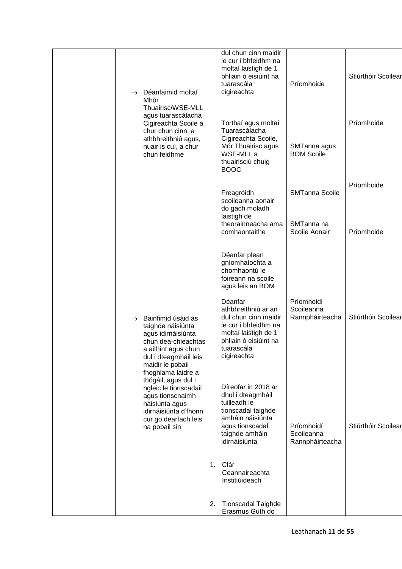| $\rightarrow$ Déanfaimid moltaí<br>Mhór<br>Thuairisc/WSE-MLL                                                                                                                                    | dul chun cinn maidir<br>le cur i bhfeidhm na<br>moltaí laistigh de 1<br>bhliain ó eisiúint na<br>tuarascála<br>cigireachta                                   | Príomhoide                                  | Stiúrthóir Scoilear |
|-------------------------------------------------------------------------------------------------------------------------------------------------------------------------------------------------|--------------------------------------------------------------------------------------------------------------------------------------------------------------|---------------------------------------------|---------------------|
| agus tuarascálacha<br>Cigireachta Scoile a<br>chur chun cinn, a<br>athbhreithniú agus,<br>nuair is cuí, a chur<br>chun feidhme                                                                  | Torthaí agus moltaí<br>Tuarascálacha<br>Cigireachta Scoile,<br>Mór Thuairisc agus<br>WSE-MLL a<br>thuairisciú chuig<br><b>BOOC</b>                           | SMTanna agus<br><b>BOM Scoile</b>           | Príomhoide          |
|                                                                                                                                                                                                 | Freagróidh<br>scoileanna aonair<br>do gach moladh                                                                                                            | <b>SMTanna Scoile</b>                       | Príomhoide          |
|                                                                                                                                                                                                 | laistigh de<br>theorainneacha ama<br>comhaontaithe                                                                                                           | SMTanna na<br>Scoile Aonair                 | Príomhoide          |
|                                                                                                                                                                                                 | Déanfar plean<br>gníomhaíochta a<br>chomhaontú le<br>foireann na scoile<br>agus leis an BOM                                                                  |                                             |                     |
| Bainfimid úsáid as<br>$\rightarrow$<br>taighde náisiúnta<br>agus idirnáisiúnta<br>chun dea-chleachtas<br>a aithint agus chun<br>dul i dteagmháil leis<br>maidir le pobail<br>fhoghlama láidre a | Déanfar<br>athbhreithniú ar an<br>dul chun cinn maidir<br>le cur i bhfeidhm na<br>moltaí laistigh de 1<br>bhliain ó eisiúint na<br>tuarascála<br>cigireachta | Príomhoidí<br>Scoileanna<br>Rannpháirteacha | Stiúrthóir Scoilear |
| thógáil, agus dul i<br>ngleic le tionscadail<br>agus tionscnaimh<br>náisiúnta agus<br>idirnáisiúnta d'fhonn<br>cur go dearfach leis<br>na pobail sin                                            | Díreofar in 2018 ar<br>dhul i dteagmháil<br>tuilleadh le<br>tionscadal taighde<br>amháin náisiúnta<br>agus tionscadal<br>taighde amháin<br>idirnáisiúnta     | Príomhoidí<br>Scoileanna<br>Rannpháirteacha | Stiúrthóir Scoilear |
|                                                                                                                                                                                                 | 1. Clár<br>Ceannaireachta<br>Institiúideach                                                                                                                  |                                             |                     |
|                                                                                                                                                                                                 | <b>Tionscadal Taighde</b><br>2.<br>Erasmus Guth do                                                                                                           |                                             |                     |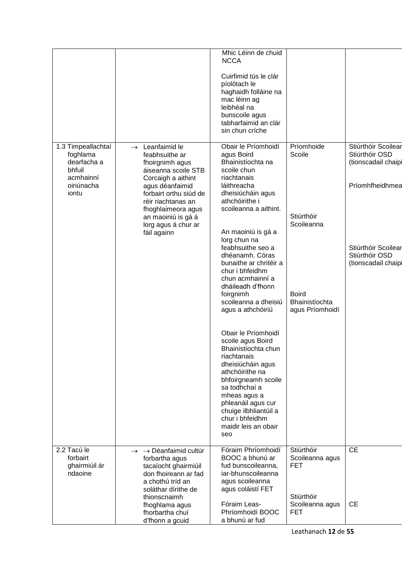|                                                                                             |                                                                                                                                                                                                                                                                       | Mhic Léinn de chuid<br><b>NCCA</b>                                                                                                                                                                                                                                                                                                                                                                                                                                                                                                                                                                                                                                                   |                                                                                                       |                                                                                                                                                 |
|---------------------------------------------------------------------------------------------|-----------------------------------------------------------------------------------------------------------------------------------------------------------------------------------------------------------------------------------------------------------------------|--------------------------------------------------------------------------------------------------------------------------------------------------------------------------------------------------------------------------------------------------------------------------------------------------------------------------------------------------------------------------------------------------------------------------------------------------------------------------------------------------------------------------------------------------------------------------------------------------------------------------------------------------------------------------------------|-------------------------------------------------------------------------------------------------------|-------------------------------------------------------------------------------------------------------------------------------------------------|
|                                                                                             |                                                                                                                                                                                                                                                                       | Cuirfimid tús le clár<br>píolótach le<br>haghaidh folláine na<br>mac léinn ag<br>leibhéal na<br>bunscoile agus<br>tabharfaimid an clár<br>sin chun críche                                                                                                                                                                                                                                                                                                                                                                                                                                                                                                                            |                                                                                                       |                                                                                                                                                 |
| 1.3 Timpeallachtaí<br>foghlama<br>dearfacha a<br>bhfuil<br>acmhainní<br>oiriúnacha<br>iontu | Leanfaimid le<br>$\rightarrow$<br>feabhsuithe ar<br>fhoirgnimh agus<br>áiseanna scoile STB<br>Corcaigh a aithint<br>agus déanfaimid<br>forbairt orthu siúd de<br>réir riachtanas an<br>fhoghlaimeora agus<br>an maoiniú is gá á<br>lorg agus á chur ar<br>fáil againn | Obair le Príomhoidí<br>agus Boird<br>Bhainistíochta na<br>scoile chun<br>riachtanais<br>láithreacha<br>dheisiúcháin agus<br>athchóirithe i<br>scoileanna a aithint.<br>An maoiniú is gá a<br>lorg chun na<br>feabhsuithe seo a<br>dhéanamh. Córas<br>bunaithe ar chritéir a<br>chur i bhfeidhm<br>chun acmhainní a<br>dháileadh d'fhonn<br>foirgnimh<br>scoileanna a dheisiú<br>agus a athchóiriú<br>Obair le Príomhoidí<br>scoile agus Boird<br>Bhainistíochta chun<br>riachtanais<br>dheisiúcháin agus<br>athchóirithe na<br>bhfoirgneamh scoile<br>sa todhchaí a<br>mheas agus a<br>phleanáil agus cur<br>chuige ilbhliantúil a<br>chur i bhfeidhm<br>maidir leis an obair<br>seo | Príomhoide<br>Scoile<br>Stiúrthóir<br>Scoileanna<br><b>Boird</b><br>Bhainistíochta<br>agus Príomhoidí | Stiúrthóir Scoilear<br>Stiúrthóir OSD<br>(tionscadail chaipi<br>Príomhfheidhmea<br>Stiúrthóir Scoilear<br>Stiúrthóir OSD<br>(tionscadail chaipi |
| 2.2 Tacú le<br>forbairt<br>ghairmiúil ár<br>ndaoine                                         | $\rightarrow$ $\rightarrow$ Déanfaimid cultúr<br>forbartha agus<br>tacaíocht ghairmiúil<br>don fhoireann ar fad<br>a chothú tríd an<br>soláthar dírithe de<br>thionscnaimh<br>fhoghlama agus<br>fhorbartha chuí<br>d'fhonn a gcuid                                    | Fóraim Phríomhoidí<br>BOOC a bhunú ar<br>fud bunscoileanna,<br>iar-bhunscoileanna<br>agus scoileanna<br>agus coláistí FET<br>Fóraim Leas-<br>Phríomhoidí BOOC<br>a bhunú ar fud                                                                                                                                                                                                                                                                                                                                                                                                                                                                                                      | Stiúrthóir<br>Scoileanna agus<br><b>FET</b><br>Stiúrthóir<br>Scoileanna agus<br><b>FET</b>            | CE<br><b>CE</b>                                                                                                                                 |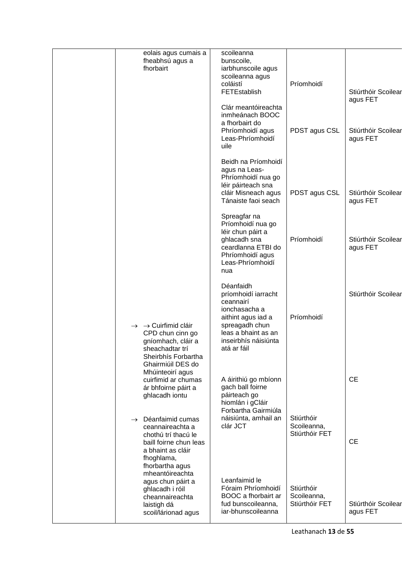| eolais agus cumais a<br>fheabhsú agus a<br>fhorbairt                                                                                                         | scoileanna<br>bunscoile,<br>iarbhunscoile agus                                                                                                                       |                                             |                                 |
|--------------------------------------------------------------------------------------------------------------------------------------------------------------|----------------------------------------------------------------------------------------------------------------------------------------------------------------------|---------------------------------------------|---------------------------------|
|                                                                                                                                                              | scoileanna agus<br>coláistí<br><b>FETEstablish</b>                                                                                                                   | Príomhoidí                                  | Stiúrthóir Scoilear<br>agus FET |
|                                                                                                                                                              | Clár meantóireachta<br>inmheánach BOOC<br>a fhorbairt do<br>Phríomhoidí agus<br>Leas-Phríomhoidí<br>uile                                                             | PDST agus CSL                               | Stiúrthóir Scoilear<br>agus FET |
|                                                                                                                                                              | Beidh na Príomhoidí<br>agus na Leas-<br>Phríomhoidí nua go<br>léir páirteach sna<br>cláir Misneach agus<br>Tánaiste faoi seach                                       | PDST agus CSL                               | Stiúrthóir Scoilear<br>agus FET |
|                                                                                                                                                              | Spreagfar na<br>Príomhoidí nua go<br>léir chun páirt a<br>ghlacadh sna<br>ceardlanna ETBI do<br>Phríomhoidí agus<br>Leas-Phríomhoidí<br>nua                          | Príomhoidí                                  | Stiúrthóir Scoilear<br>agus FET |
| $\rightarrow$ $\rightarrow$ Cuirfimid cláir<br>CPD chun cinn go<br>gníomhach, cláir a<br>sheachadtar trí<br>Sheirbhís Forbartha<br>Ghairmiúil DES do         | Déanfaidh<br>príomhoidí iarracht<br>ceannairí<br>ionchasacha a<br>aithint agus iad a<br>spreagadh chun<br>leas a bhaint as an<br>inseirbhís náisiúnta<br>atá ar fáil | Príomhoidí                                  | Stiúrthóir Scoilear             |
| Mhúinteoirí agus<br>cuirfimid ar chumas<br>ár bhfoirne páirt a<br>ghlacadh iontu                                                                             | A áirithiú go mbíonn<br>gach ball foirne<br>páirteach go<br>hiomlán i gCláir<br>Forbartha Gairmiúla                                                                  |                                             | <b>CE</b>                       |
| Déanfaimid cumas<br>$\rightarrow$<br>ceannaireachta a<br>chothú trí thacú le<br>baill foirne chun leas<br>a bhaint as cláir<br>fhoghlama,<br>fhorbartha agus | náisiúnta, amhail an<br>clár JCT                                                                                                                                     | Stiúrthóir<br>Scoileanna,<br>Stiúrthóir FET | <b>CE</b>                       |
| mheantóireachta<br>agus chun páirt a<br>ghlacadh i róil<br>cheannaireachta<br>laistigh dá<br>scoil/lárionad agus                                             | Leanfaimid le<br>Fóraim Phríomhoidí<br>BOOC a fhorbairt ar<br>fud bunscoileanna,<br>iar-bhunscoileanna                                                               | Stiúrthóir<br>Scoileanna,<br>Stiúrthóir FET | Stiúrthóir Scoilear<br>agus FET |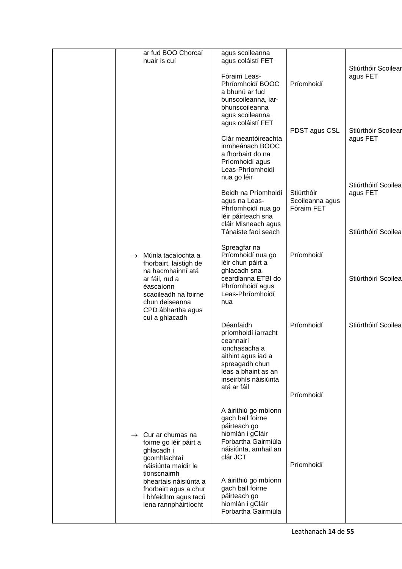|  | ar fud BOO Chorcaí<br>nuair is cuí                                                                                                                                            | agus scoileanna<br>agus coláistí FET                                                                                                                                 |                                             |                                                        |
|--|-------------------------------------------------------------------------------------------------------------------------------------------------------------------------------|----------------------------------------------------------------------------------------------------------------------------------------------------------------------|---------------------------------------------|--------------------------------------------------------|
|  |                                                                                                                                                                               | Fóraim Leas-<br>Phríomhoidí BOOC<br>a bhunú ar fud<br>bunscoileanna, iar-<br>bhunscoileanna<br>agus scoileanna<br>agus coláistí FET                                  | Príomhoidí                                  | Stiúrthóir Scoilear<br>agus FET                        |
|  |                                                                                                                                                                               | Clár meantóireachta<br>inmheánach BOOC<br>a fhorbairt do na<br>Príomhoidí agus<br>Leas-Phríomhoidí<br>nua go léir                                                    | PDST agus CSL                               | Stiúrthóir Scoilear<br>agus FET                        |
|  |                                                                                                                                                                               | Beidh na Príomhoidí<br>agus na Leas-<br>Phríomhoidí nua go<br>léir páirteach sna<br>cláir Misneach agus<br>Tánaiste faoi seach                                       | Stiúrthóir<br>Scoileanna agus<br>Fóraim FET | Stiúrthóirí Scoilea<br>agus FET<br>Stiúrthóirí Scoilea |
|  | $\rightarrow$ Múnla tacaíochta a<br>fhorbairt, laistigh de<br>na hacmhainní atá<br>ar fáil, rud a<br>éascaíonn<br>scaoileadh na foirne<br>chun deiseanna<br>CPD ábhartha agus | Spreagfar na<br>Príomhoidí nua go<br>léir chun páirt a<br>ghlacadh sna<br>ceardlanna ETBI do<br>Phríomhoidí agus<br>Leas-Phríomhoidí<br>nua                          | Príomhoidí                                  | Stiúrthóirí Scoilea                                    |
|  | cuí a ghlacadh                                                                                                                                                                | Déanfaidh<br>príomhoidí iarracht<br>ceannairí<br>ionchasacha a<br>aithint agus iad a<br>spreagadh chun<br>leas a bhaint as an<br>inseirbhís náisiúnta<br>atá ar fáil | Príomhoidí<br>Príomhoidí                    | Stiúrthóirí Scoilea                                    |
|  | $\rightarrow$ Cur ar chumas na<br>foirne go léir páirt a<br>ghlacadh i<br>gcomhlachtaí<br>náisiúnta maidir le                                                                 | A áirithiú go mbíonn<br>gach ball foirne<br>páirteach go<br>hiomlán i gCláir<br>Forbartha Gairmiúla<br>náisiúnta, amhail an<br>clár JCT                              | Príomhoidí                                  |                                                        |
|  | tionscnaimh<br>bheartais náisiúnta a<br>fhorbairt agus a chur<br>i bhfeidhm agus tacú<br>lena rannpháirtíocht                                                                 | A áirithiú go mbíonn<br>gach ball foirne<br>páirteach go<br>hiomlán i gCláir<br>Forbartha Gairmiúla                                                                  |                                             |                                                        |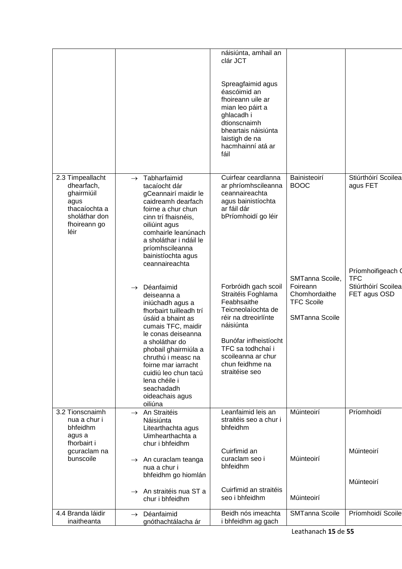|                                                                                                                |                                                                                                                                                                                                                                                                                                                                        | náisiúnta, amhail an<br>clár JCT                                                                                                                                                                                                                    |                                                                                                          |                                                                               |
|----------------------------------------------------------------------------------------------------------------|----------------------------------------------------------------------------------------------------------------------------------------------------------------------------------------------------------------------------------------------------------------------------------------------------------------------------------------|-----------------------------------------------------------------------------------------------------------------------------------------------------------------------------------------------------------------------------------------------------|----------------------------------------------------------------------------------------------------------|-------------------------------------------------------------------------------|
|                                                                                                                |                                                                                                                                                                                                                                                                                                                                        | Spreagfaimid agus<br>éascóimid an<br>fhoireann uile ar<br>mian leo páirt a<br>ghlacadh i<br>dtionscnaimh<br>bheartais náisiúnta<br>laistigh de na<br>hacmhainní atá ar<br>fáil                                                                      |                                                                                                          |                                                                               |
| 2.3 Timpeallacht<br>dhearfach,<br>ghairmiúil<br>agus<br>thacaíochta a<br>sholáthar don<br>fhoireann go<br>léir | Tabharfaimid<br>$\rightarrow$<br>tacaíocht dár<br>gCeannairí maidir le<br>caidreamh dearfach<br>foirne a chur chun<br>cinn trí fhaisnéis,<br>oiliúint agus<br>comhairle leanúnach<br>a sholáthar i ndáil le<br>príomhscileanna<br>bainistíochta agus<br>ceannaireachta                                                                 | Cuirfear ceardlanna<br>ar phríomhscileanna<br>ceannaireachta<br>agus bainistíochta<br>ar fáil dár<br>bPríomhoidí go léir                                                                                                                            | Bainisteoirí<br><b>BOOC</b>                                                                              | Stiúrthóirí Scoilea<br>agus FET                                               |
| 3.2 Tionscnaimh                                                                                                | Déanfaimid<br>$\rightarrow$<br>deiseanna a<br>iniúchadh agus a<br>fhorbairt tuilleadh trí<br>úsáid a bhaint as<br>cumais TFC, maidir<br>le conas deiseanna<br>a sholáthar do<br>phobail ghairmiúla a<br>chruthú i measc na<br>foirne mar iarracht<br>cuidiú leo chun tacú<br>lena chéile i<br>seachadadh<br>oideachais agus<br>oiliúna | Forbróidh gach scoil<br>Straitéis Foghlama<br>Feabhsaithe<br>Teicneolaíochta de<br>réir na dtreoirlínte<br>náisiúnta<br>Bunófar infheistíocht<br>TFC sa todhchaí i<br>scoileanna ar chur<br>chun feidhme na<br>straitéise seo<br>Leanfaimid leis an | SMTanna Scoile,<br>Foireann<br>Chomhordaithe<br><b>TFC Scoile</b><br><b>SMTanna Scoile</b><br>Múinteoirí | Príomhoifigeach 0<br>TFC<br>Stiúrthóirí Scoilea<br>FET agus OSD<br>Príomhoidí |
| nua a chur i<br>bhfeidhm<br>agus a<br>fhorbairt i                                                              | An Straitéis<br>$\rightarrow$<br>Náisiúnta<br>Litearthachta agus<br>Uimhearthachta a<br>chur i bhfeidhm                                                                                                                                                                                                                                | straitéis seo a chur i<br>bhfeidhm                                                                                                                                                                                                                  |                                                                                                          |                                                                               |
| gcuraclam na<br>bunscoile                                                                                      | An curaclam teanga<br>$\rightarrow$<br>nua a chur i<br>bhfeidhm go hiomlán                                                                                                                                                                                                                                                             | Cuirfimid an<br>curaclam seo i<br>bhfeidhm                                                                                                                                                                                                          | Múinteoirí                                                                                               | Múinteoirí<br>Múinteoirí                                                      |
|                                                                                                                | $\rightarrow$ An straitéis nua ST a<br>chur i bhfeidhm                                                                                                                                                                                                                                                                                 | Cuirfimid an straitéis<br>seo i bhfeidhm                                                                                                                                                                                                            | Múinteoirí                                                                                               |                                                                               |
| 4.4 Branda láidir<br>inaitheanta                                                                               | Déanfaimid<br>$\rightarrow$<br>gnóthachtálacha ár                                                                                                                                                                                                                                                                                      | Beidh nós imeachta<br>i bhfeidhm ag gach                                                                                                                                                                                                            | <b>SMTanna Scoile</b>                                                                                    | Príomhoidí Scoile                                                             |
|                                                                                                                |                                                                                                                                                                                                                                                                                                                                        |                                                                                                                                                                                                                                                     |                                                                                                          |                                                                               |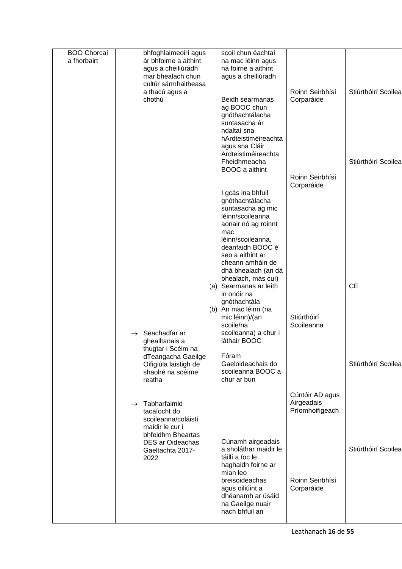| <b>BOO Chorcaí</b> | bhfoghlaimeoirí agus                          | scoil chun éachtaí                        |                               |                     |
|--------------------|-----------------------------------------------|-------------------------------------------|-------------------------------|---------------------|
| a fhorbairt        | ár bhfoirne a aithint                         | na mac léinn agus                         |                               |                     |
|                    | agus a cheiliúradh<br>mar bhealach chun       | na foirne a aithint<br>agus a cheiliúradh |                               |                     |
|                    | cultúr sármhaitheasa                          |                                           |                               |                     |
|                    | a thacú agus a                                |                                           | Roinn Seirbhísí               | Stiúrthóirí Scoilea |
|                    | chothú                                        | Beidh searmanas<br>ag BOOC chun           | Corparáide                    |                     |
|                    |                                               | gnóthachtálacha                           |                               |                     |
|                    |                                               | suntasacha ár                             |                               |                     |
|                    |                                               | ndaltaí sna<br>hArdteistiméireachta       |                               |                     |
|                    |                                               | agus sna Cláir                            |                               |                     |
|                    |                                               | Ardteistiméireachta                       |                               |                     |
|                    |                                               | Fheidhmeacha<br><b>BOOC</b> a aithint     |                               | Stiúrthóirí Scoilea |
|                    |                                               |                                           | Roinn Seirbhísí               |                     |
|                    |                                               |                                           | Corparáide                    |                     |
|                    |                                               | I gcás ina bhfuil<br>gnóthachtálacha      |                               |                     |
|                    |                                               | suntasacha ag mic                         |                               |                     |
|                    |                                               | léinn/scoileanna                          |                               |                     |
|                    |                                               | aonair nó ag roinnt<br>mac                |                               |                     |
|                    |                                               | léinn/scoileanna,                         |                               |                     |
|                    |                                               | déanfaidh BOOC é                          |                               |                     |
|                    |                                               | seo a aithint ar<br>cheann amháin de      |                               |                     |
|                    |                                               | dhá bhealach (an dá                       |                               |                     |
|                    |                                               | bhealach, más cuí)                        |                               |                     |
|                    |                                               | (a) Searmanas ar leith<br>in onóir na     |                               | <b>CE</b>           |
|                    |                                               | gnóthachtála                              |                               |                     |
|                    |                                               | (b) An mac léinn (na                      | Stiúrthóirí                   |                     |
|                    |                                               | mic léinn)/(an<br>scoile/na               | Scoileanna                    |                     |
|                    | Seachadfar ar<br>$\rightarrow$                | scoileanna) a chur i                      |                               |                     |
|                    | ghealltanais a                                | láthair BOOC                              |                               |                     |
|                    | thugtar i Scéim na<br>dTeangacha Gaeilge      | Fóram                                     |                               |                     |
|                    | Oifigiúla laistigh de                         | Gaeloideachais do                         |                               | Stiúrthóirí Scoilea |
|                    | shaolré na scéime                             | scoileanna BOOC a<br>chur ar bun          |                               |                     |
|                    | reatha                                        |                                           |                               |                     |
|                    |                                               |                                           | Cúntóir AD agus               |                     |
|                    | Tabharfaimid<br>$\rightarrow$<br>tacaíocht do |                                           | Airgeadais<br>Príomhoifigeach |                     |
|                    | scoileanna/coláistí                           |                                           |                               |                     |
|                    | maidir le cur i                               |                                           |                               |                     |
|                    | bhfeidhm Bheartas<br>DES ar Oideachas         | Cúnamh airgeadais                         |                               |                     |
|                    | Gaeltachta 2017-                              | a sholáthar maidir le                     |                               | Stiúrthóirí Scoilea |
|                    | 2022                                          | táillí a íoc le                           |                               |                     |
|                    |                                               | haghaidh foirne ar<br>mian leo            |                               |                     |
|                    |                                               | breisoideachas                            | Roinn Seirbhísí               |                     |
|                    |                                               | agus oiliúint a                           | Corparáide                    |                     |
|                    |                                               | dhéanamh ar úsáid<br>na Gaeilge nuair     |                               |                     |
|                    |                                               | nach bhfuil an                            |                               |                     |
|                    |                                               |                                           |                               |                     |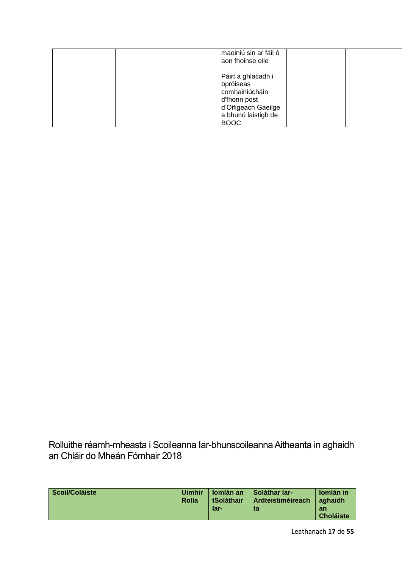| maoiniú sin ar fáil ó<br>aon fhoinse eile                                                                                       |  |
|---------------------------------------------------------------------------------------------------------------------------------|--|
| Páirt a ghlacadh i<br>bpróiseas<br>comhairliúcháin<br>d'fhonn post<br>d'Oifigeach Gaeilge<br>a bhunú laistigh de<br><b>BOOC</b> |  |

<span id="page-16-0"></span>Rolluithe réamh-mheasta i Scoileanna Iar-bhunscoileanna Aitheanta in aghaidh an Chláir do Mheán Fómhair 2018

| Scoil/Coláiste | <b>Uimhir</b> | <b>Iomlán an</b>  | Soláthar Iar-     | <b>Iomlán</b> in       |
|----------------|---------------|-------------------|-------------------|------------------------|
|                | Rolla         | <b>tSoláthair</b> | Ardteistiméireach | aghaidh                |
|                |               | lar-              | ta                | an<br><b>Choláiste</b> |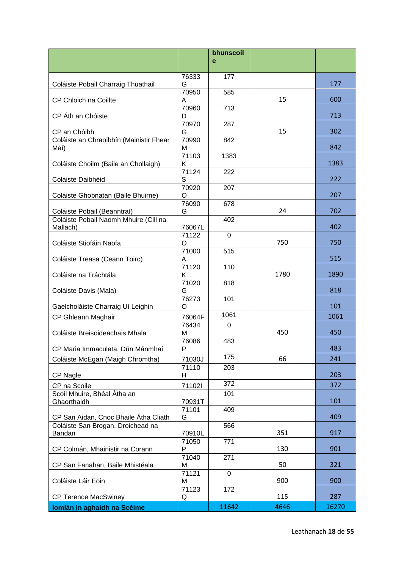|                                                 |                 | bhunscoil   |      |       |
|-------------------------------------------------|-----------------|-------------|------|-------|
|                                                 |                 | e           |      |       |
|                                                 | 76333           | 177         |      |       |
| Coláiste Pobail Charraig Thuathail              | G               |             |      | 177   |
|                                                 | 70950           | 585         |      |       |
| CP Chloich na Coillte                           | A<br>70960      | 713         | 15   | 600   |
| CP Áth an Chóiste                               | D               |             |      | 713   |
|                                                 | 70970           | 287         |      |       |
| CP an Chóibh                                    | G               |             | 15   | 302   |
| Coláiste an Chraoibhín (Mainistir Fhear<br>Maí) | 70990<br>M      | 842         |      | 842   |
|                                                 | 71103           | 1383        |      |       |
| Coláiste Choilm (Baile an Chollaigh)            | Κ               |             |      | 1383  |
|                                                 | 71124           | 222         |      |       |
| Coláiste Daibhéid                               | S<br>70920      | 207         |      | 222   |
| Coláiste Ghobnatan (Baile Bhuirne)              | O               |             |      | 207   |
|                                                 | 76090           | 678         |      |       |
| Coláiste Pobail (Beanntraí)                     | G               |             | 24   | 702   |
| Coláiste Pobail Naomh Mhuire (Cill na           |                 | 402         |      | 402   |
| Mallach)                                        | 76067L<br>71122 | $\mathbf 0$ |      |       |
| Coláiste Stiofáin Naofa                         | O               |             | 750  | 750   |
|                                                 | 71000           | 515         |      |       |
| Coláiste Treasa (Ceann Toirc)                   | A               |             |      | 515   |
| Coláiste na Tráchtála                           | 71120<br>Κ      | 110         | 1780 | 1890  |
|                                                 | 71020           | 818         |      |       |
| Coláiste Davis (Mala)                           | G               |             |      | 818   |
|                                                 | 76273           | 101         |      |       |
| Gaelcholáiste Charraig Uí Leighin               | O               | 1061        |      | 101   |
| CP Ghleann Maghair                              | 76064F<br>76434 | $\mathbf 0$ |      | 1061  |
| Coláiste Breisoideachais Mhala                  | м               |             | 450  | 450   |
|                                                 | 76086           | 483         |      |       |
| CP Maria Immaculata, Dún Mánmhaí                | P               |             |      | 483   |
| Coláiste McEgan (Maigh Chromtha)                | 71030J          | 175         | 66   | 241   |
|                                                 | 71110           | 203         |      |       |
| CP Nagle                                        | H               | 372         |      | 203   |
| CP na Scoile<br>Scoil Mhuire, Bhéal Átha an     | 71102l          | 101         |      | 372   |
| Ghaorthaidh                                     | 70931T          |             |      | 101   |
|                                                 | 71101           | 409         |      |       |
| CP San Aidan, Cnoc Bhaile Átha Cliath           | G               |             |      | 409   |
| Coláiste San Brogan, Droichead na<br>Bandan     | 70910L          | 566         | 351  | 917   |
|                                                 | 71050           | 771         |      |       |
| CP Colmán, Mhainistir na Corann                 | P               |             | 130  | 901   |
|                                                 | 71040           | 271         |      |       |
| CP San Fanahan, Baile Mhistéala                 | M<br>71121      | $\mathbf 0$ | 50   | 321   |
| Coláiste Láir Eoin                              | M               |             | 900  | 900   |
|                                                 | 71123           | 172         |      |       |
| <b>CP Terence MacSwiney</b>                     | Q               |             | 115  | 287   |
| Iomlán in aghaidh na Scéime                     |                 | 11642       | 4646 | 16270 |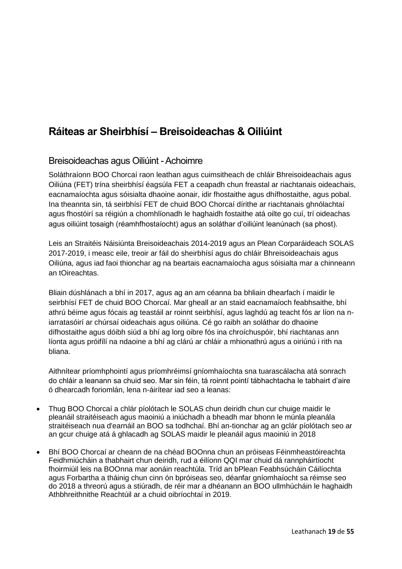## <span id="page-18-0"></span>**Ráiteas ar Sheirbhísí – Breisoideachas & Oiliúint**

## <span id="page-18-1"></span>Breisoideachas agus Oiliúint -Achoimre

Soláthraíonn BOO Chorcaí raon leathan agus cuimsitheach de chláir Bhreisoideachais agus Oiliúna (FET) trína sheirbhísí éagsúla FET a ceapadh chun freastal ar riachtanais oideachais, eacnamaíochta agus sóisialta dhaoine aonair, idir fhostaithe agus dhífhostaithe, agus pobal. Ina theannta sin, tá seirbhísí FET de chuid BOO Chorcaí dírithe ar riachtanais ghnólachtaí agus fhostóirí sa réigiún a chomhlíonadh le haghaidh fostaithe atá oilte go cuí, trí oideachas agus oiliúint tosaigh (réamhfhostaíocht) agus an soláthar d'oiliúint leanúnach (sa phost).

Leis an Straitéis Náisiúnta Breisoideachais 2014-2019 agus an Plean Corparáideach SOLAS 2017-2019, i measc eile, treoir ar fáil do sheirbhísí agus do chláir Bhreisoideachais agus Oiliúna, agus iad faoi thionchar ag na beartais eacnamaíocha agus sóisialta mar a chinneann an tOireachtas.

Bliain dúshlánach a bhí in 2017, agus ag an am céanna ba bhliain dhearfach í maidir le seirbhísí FET de chuid BOO Chorcaí. Mar gheall ar an staid eacnamaíoch feabhsaithe, bhí athrú béime agus fócais ag teastáil ar roinnt seirbhísí, agus laghdú ag teacht fós ar líon na niarratasóirí ar chúrsaí oideachais agus oiliúna. Cé go raibh an soláthar do dhaoine dífhostaithe agus dóibh siúd a bhí ag lorg oibre fós ina chroíchuspóir, bhí riachtanas ann líonta agus próifílí na ndaoine a bhí ag clárú ar chláir a mhionathrú agus a oiriúnú i rith na bliana.

Aithnítear príomhphointí agus príomhréimsí gníomhaíochta sna tuarascálacha atá sonrach do chláir a leanann sa chuid seo. Mar sin féin, tá roinnt pointí tábhachtacha le tabhairt d'aire ó dhearcadh foriomlán, lena n-áirítear iad seo a leanas:

- Thug BOO Chorcaí a chlár píolótach le SOLAS chun deiridh chun cur chuige maidir le pleanáil straitéiseach agus maoiniú a iniúchadh a bheadh mar bhonn le múnla pleanála straitéiseach nua d'earnáil an BOO sa todhchaí. Bhí an-tionchar ag an gclár píolótach seo ar an gcur chuige atá á ghlacadh ag SOLAS maidir le pleanáil agus maoiniú in 2018
- Bhí BOO Chorcaí ar cheann de na chéad BOOnna chun an próiseas Féinmheastóireachta Feidhmiúcháin a thabhairt chun deiridh, rud a éilíonn QQI mar chuid dá rannpháirtíocht fhoirmiúil leis na BOOnna mar aonáin reachtúla. Tríd an bPlean Feabhsúcháin Cáilíochta agus Forbartha a tháinig chun cinn ón bpróiseas seo, déanfar gníomhaíocht sa réimse seo do 2018 a threorú agus a stiúradh, de réir mar a dhéanann an BOO ullmhúcháin le haghaidh Athbhreithnithe Reachtúil ar a chuid oibríochtaí in 2019.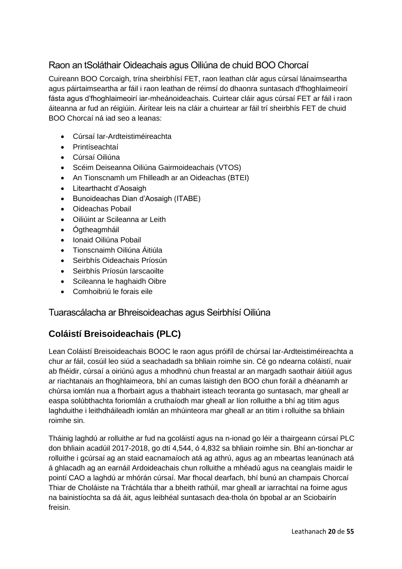## Raon an tSoláthair Oideachais agus Oiliúna de chuid BOO Chorcaí

Cuireann BOO Corcaigh, trína sheirbhísí FET, raon leathan clár agus cúrsaí lánaimseartha agus páirtaimseartha ar fáil i raon leathan de réimsí do dhaonra suntasach d'fhoghlaimeoirí fásta agus d'fhoghlaimeoirí iar-mheánoideachais. Cuirtear cláir agus cúrsaí FET ar fáil i raon áiteanna ar fud an réigiúin. Áirítear leis na cláir a chuirtear ar fáil trí sheirbhís FET de chuid BOO Chorcaí ná iad seo a leanas:

- Cúrsaí Iar-Ardteistiméireachta
- Printíseachtaí
- Cúrsaí Oiliúna
- Scéim Deiseanna Oiliúna Gairmoideachais (VTOS)
- An Tionscnamh um Fhilleadh ar an Oideachas (BTEI)
- Litearthacht d'Aosaigh
- Bunoideachas Dian d'Aosaigh (ITABE)
- Oideachas Pobail
- Oiliúint ar Scileanna ar Leith
- Ógtheagmháil
- Ionaid Oiliúna Pobail
- Tionscnaimh Oiliúna Áitiúla
- Seirbhís Oideachais Príosún
- Seirbhís Príosún Iarscaoilte
- Scileanna le haghaidh Oibre
- Comhoibriú le forais eile

## Tuarascálacha ar Bhreisoideachas agus Seirbhísí Oiliúna

## **Coláistí Breisoideachais (PLC)**

Lean Coláistí Breisoideachais BOOC le raon agus próifíl de chúrsaí Iar-Ardteistiméireachta a chur ar fáil, cosúil leo siúd a seachadadh sa bhliain roimhe sin. Cé go ndearna coláistí, nuair ab fhéidir, cúrsaí a oiriúnú agus a mhodhnú chun freastal ar an margadh saothair áitiúil agus ar riachtanais an fhoghlaimeora, bhí an cumas laistigh den BOO chun foráil a dhéanamh ar chúrsa iomlán nua a fhorbairt agus a thabhairt isteach teoranta go suntasach, mar gheall ar easpa solúbthachta foriomlán a cruthaíodh mar gheall ar líon rolluithe a bhí ag titim agus laghduithe i leithdháileadh iomlán an mhúinteora mar gheall ar an titim i rolluithe sa bhliain roimhe sin.

Tháinig laghdú ar rolluithe ar fud na gcoláistí agus na n-ionad go léir a thairgeann cúrsaí PLC don bhliain acadúil 2017-2018, go dtí 4,544, ó 4,832 sa bhliain roimhe sin. Bhí an-tionchar ar rolluithe i gcúrsaí ag an staid eacnamaíoch atá ag athrú, agus ag an mbeartas leanúnach atá á ghlacadh ag an earnáil Ardoideachais chun rolluithe a mhéadú agus na ceanglais maidir le pointí CAO a laghdú ar mhórán cúrsaí. Mar fhocal dearfach, bhí bunú an champais Chorcaí Thiar de Choláiste na Tráchtála thar a bheith rathúil, mar gheall ar iarrachtaí na foirne agus na bainistíochta sa dá áit, agus leibhéal suntasach dea-thola ón bpobal ar an Sciobairín freisin.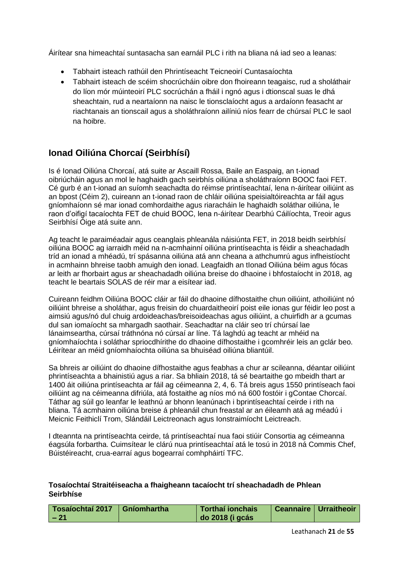Áirítear sna himeachtaí suntasacha san earnáil PLC i rith na bliana ná iad seo a leanas:

- Tabhairt isteach rathúil den Phrintíseacht Teicneoirí Cuntasaíochta
- Tabhairt isteach de scéim shocrúcháin oibre don fhoireann teagaisc, rud a sholáthair do líon mór múinteoirí PLC socrúchán a fháil i ngnó agus i dtionscal suas le dhá sheachtain, rud a neartaíonn na naisc le tionsclaíocht agus a ardaíonn feasacht ar riachtanais an tionscail agus a sholáthraíonn ailíniú níos fearr de chúrsaí PLC le saol na hoibre.

## **Ionad Oiliúna Chorcaí (Seirbhísí)**

Is é Ionad Oiliúna Chorcaí, atá suite ar Ascaill Rossa, Baile an Easpaig, an t-ionad oibriúcháin agus an mol le haghaidh gach seirbhís oiliúna a sholáthraíonn BOOC faoi FET. Cé gurb é an t-ionad an suíomh seachadta do réimse printíseachtaí, lena n-áirítear oiliúint as an bpost (Céim 2), cuireann an t-ionad raon de chláir oiliúna speisialtóireachta ar fáil agus gníomhaíonn sé mar ionad comhordaithe agus riaracháin le haghaidh soláthar oiliúna, le raon d'oifigí tacaíochta FET de chuid BOOC, lena n-áirítear Dearbhú Cáilíochta, Treoir agus Seirbhísí Óige atá suite ann.

Ag teacht le paraiméadair agus ceanglais phleanála náisiúnta FET, in 2018 beidh seirbhísí oiliúna BOOC ag iarraidh méid na n-acmhainní oiliúna printíseachta is féidir a sheachadadh tríd an ionad a mhéadú, trí spásanna oiliúna atá ann cheana a athchumrú agus infheistíocht in acmhainn bhreise taobh amuigh den ionad. Leagfaidh an tIonad Oiliúna béim agus fócas ar leith ar fhorbairt agus ar sheachadadh oiliúna breise do dhaoine i bhfostaíocht in 2018, ag teacht le beartais SOLAS de réir mar a eisítear iad.

Cuireann feidhm Oiliúna BOOC cláir ar fáil do dhaoine dífhostaithe chun oiliúint, athoiliúint nó oiliúint bhreise a sholáthar, agus freisin do chuardaitheoirí poist eile ionas gur féidir leo post a aimsiú agus/nó dul chuig ardoideachas/breisoideachas agus oiliúint, a chuirfidh ar a gcumas dul san iomaíocht sa mhargadh saothair. Seachadtar na cláir seo trí chúrsaí lae lánaimseartha, cúrsaí tráthnóna nó cúrsaí ar líne. Tá laghdú ag teacht ar mhéid na gníomhaíochta i soláthar spriocdhírithe do dhaoine dífhostaithe i gcomhréir leis an gclár beo. Léirítear an méid gníomhaíochta oiliúna sa bhuiséad oiliúna bliantúil.

Sa bhreis ar oiliúint do dhaoine dífhostaithe agus feabhas a chur ar scileanna, déantar oiliúint phrintíseachta a bhainistiú agus a riar. Sa bhliain 2018, tá sé beartaithe go mbeidh thart ar 1400 áit oiliúna printíseachta ar fáil ag céimeanna 2, 4, 6. Tá breis agus 1550 printíseach faoi oiliúint ag na céimeanna difriúla, atá fostaithe ag níos mó ná 600 fostóir i gContae Chorcaí. Táthar ag súil go leanfar le leathnú ar bhonn leanúnach i bprintíseachtaí ceirde i rith na bliana. Tá acmhainn oiliúna breise á phleanáil chun freastal ar an éileamh atá ag méadú i Meicnic Feithiclí Trom, Slándáil Leictreonach agus Ionstraimíocht Leictreach.

I dteannta na printíseachta ceirde, tá printíseachtaí nua faoi stiúir Consortia ag céimeanna éagsúla forbartha. Cuimsítear le clárú nua printíseachtaí atá le tosú in 2018 ná Commis Chef, Búistéireacht, crua-earraí agus bogearraí comhpháirtí TFC.

| Tosaíochtaí 2017   Gníomhartha | Torthaí ionchais | Ceannaire   Urraitheoir |
|--------------------------------|------------------|-------------------------|
| $-21$                          | do 2018 (i gcás  |                         |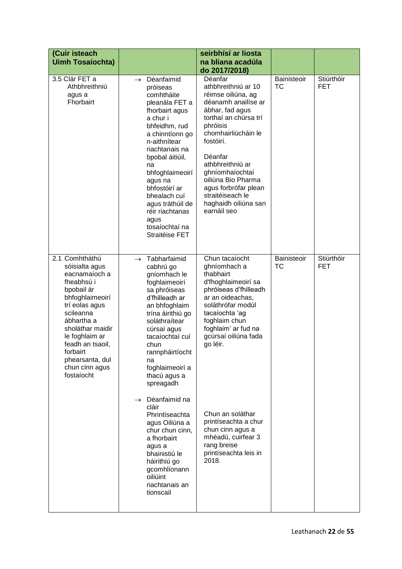| (Cuir isteach<br><b>Uimh Tosaíochta)</b>                                                                                                                                                                                                                               |                                                                                                                                                                                                                                                                                                                                                                                        | seirbhísí ar liosta<br>na bliana acadúla<br>do 2017/2018)                                                                                                                                                                                                                                                                          |                          |                          |
|------------------------------------------------------------------------------------------------------------------------------------------------------------------------------------------------------------------------------------------------------------------------|----------------------------------------------------------------------------------------------------------------------------------------------------------------------------------------------------------------------------------------------------------------------------------------------------------------------------------------------------------------------------------------|------------------------------------------------------------------------------------------------------------------------------------------------------------------------------------------------------------------------------------------------------------------------------------------------------------------------------------|--------------------------|--------------------------|
| 3.5 Clár FET a<br>Athbhreithniú<br>agus a<br>Fhorbairt                                                                                                                                                                                                                 | Déanfaimid<br>$\rightarrow$<br>próiseas<br>comhtháite<br>pleanála FET a<br>fhorbairt agus<br>a chur i<br>bhfeidhm, rud<br>a chinntíonn go<br>n-aithnítear<br>riachtanais na<br>bpobal áitiúil,<br>na<br>bhfoghlaimeoirí<br>agus na<br>bhfostóirí ar<br>bhealach cuí<br>agus tráthúil de<br>réir riachtanas<br>agus<br>tosaíochtaí na<br>Straitéise FET                                 | Déanfar<br>athbhreithniú ar 10<br>réimse oiliúna, ag<br>déanamh anailíse ar<br>ábhar, fad agus<br>torthaí an chúrsa trí<br>phróisis<br>chomhairliúcháin le<br>fostóirí.<br>Déanfar<br>athbhreithniú ar<br>ghníomhaíochtaí<br>oiliúna Bio Pharma<br>agus forbrófar plean<br>straitéiseach le<br>haghaidh oiliúna san<br>earnáil seo | Bainisteoir<br><b>TC</b> | Stiúrthóir<br><b>FET</b> |
| 2.1 Comhtháthú<br>sóisialta agus<br>eacnamaíoch a<br>fheabhsú i<br>bpobail ár<br>bhfoghlaimeoirí<br>trí eolas agus<br>scileanna<br>ábhartha a<br>sholáthar maidir<br>le foghlaim ar<br>feadh an tsaoil,<br>forbairt<br>phearsanta, dul<br>chun cinn agus<br>fostaíocht | Tabharfaimid<br>$\rightarrow$<br>cabhrú go<br>gníomhach le<br>foghlaimeoirí<br>sa phróiseas<br>d'fhilleadh ar<br>an bhfoghlaim<br>trína áirithiú go<br>soláthraítear<br>cúrsaí agus<br>tacaíochtaí cuí<br>chun<br>rannpháirtíocht<br>na<br>foghlaimeoirí a<br>thacú agus a<br>spreagadh<br>$\rightarrow$ Déanfaimid na<br>cláir<br>Phrintíseachta<br>agus Oiliúna a<br>chur chun cinn, | Chun tacaíocht<br>ghníomhach a<br>thabhairt<br>d'fhoghlaimeoirí sa<br>phróiseas d'fhilleadh<br>ar an oideachas,<br>soláthrófar modúl<br>tacaíochta 'ag<br>foghlaim chun<br>foghlaim' ar fud na<br>gcúrsaí oiliúna fada<br>go léir.<br>Chun an soláthar<br>printíseachta a chur<br>chun cinn agus a                                 | Bainisteoir<br>ТC        | Stiúrthóir<br><b>FET</b> |
|                                                                                                                                                                                                                                                                        | a fhorbairt<br>agus a<br>bhainistiú le<br>háirithiú go<br>gcomhlíonann<br>oiliúint<br>riachtanais an<br>tionscail                                                                                                                                                                                                                                                                      | mhéadú, cuirfear 3<br>rang breise<br>printíseachta leis in<br>2018.                                                                                                                                                                                                                                                                |                          |                          |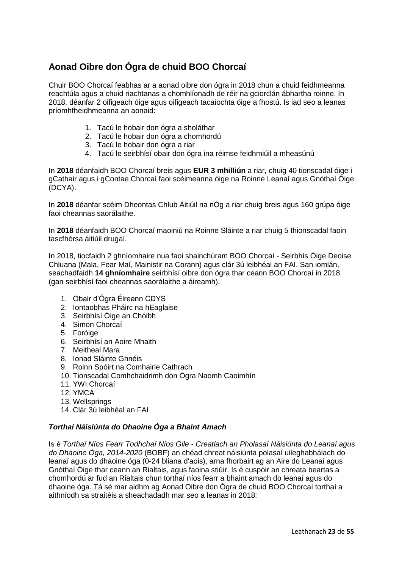## **Aonad Oibre don Ógra de chuid BOO Chorcaí**

Chuir BOO Chorcaí feabhas ar a aonad oibre don ógra in 2018 chun a chuid feidhmeanna reachtúla agus a chuid riachtanas a chomhlíonadh de réir na gciorclán ábhartha roinne. In 2018, déanfar 2 oifigeach óige agus oifigeach tacaíochta óige a fhostú. Is iad seo a leanas príomhfheidhmeanna an aonaid:

- 1. Tacú le hobair don ógra a sholáthar
- 2. Tacú le hobair don ógra a chomhordú
- 3. Tacú le hobair don ógra a riar
- 4. Tacú le seirbhísí obair don ógra ina réimse feidhmiúil a mheasúnú

In **2018** déanfaidh BOO Chorcaí breis agus **EUR 3 mhilliún** a riar**,** chuig 40 tionscadal óige i gCathair agus i gContae Chorcaí faoi scéimeanna óige na Roinne Leanaí agus Gnóthaí Óige (DCYA).

In **2018** déanfar scéim Dheontas Chlub Áitiúil na nÓg a riar chuig breis agus 160 grúpa óige faoi cheannas saorálaithe.

In **2018** déanfaidh BOO Chorcaí maoiniú na Roinne Sláinte a riar chuig 5 thionscadal faoin tascfhórsa áitiúil drugaí.

In 2018, tiocfaidh 2 ghníomhaire nua faoi shainchúram BOO Chorcaí - Seirbhís Óige Deoise Chluana (Mala, Fear Maí, Mainistir na Corann) agus clár 3ú leibhéal an FAI. San iomlán, seachadfaidh **14 ghníomhaire** seirbhísí oibre don ógra thar ceann BOO Chorcaí in 2018 (gan seirbhísí faoi cheannas saorálaithe a áireamh).

- 1. Obair d'Ógra Éireann CDYS
- 2. Iontaobhas Pháirc na hEaglaise
- 3. Seirbhísí Óige an Chóibh
- 4. Simon Chorcaí
- 5. Foróige
- 6. Seirbhísí an Aoire Mhaith
- 7. Meitheal Mara
- 8. Ionad Sláinte Ghnéis
- 9. Roinn Spóirt na Comhairle Cathrach
- 10. Tionscadal Comhchaidrimh don Ógra Naomh Caoimhín
- 11. YWI Chorcaí
- 12. YMCA
- 13. Wellsprings
- 14. Clár 3ú leibhéal an FAI

#### *Torthaí Náisiúnta do Dhaoine Óga a Bhaint Amach*

Is é *Torthaí Níos Fearr Todhchaí Níos Gile - Creatlach an Pholasaí Náisiúnta do Leanaí agus do Dhaoine Óga, 2014-2020* (BOBF) an chéad chreat náisiúnta polasaí uileghabhálach do leanaí agus do dhaoine óga (0-24 bliana d'aois), arna fhorbairt ag an Aire do Leanaí agus Gnóthaí Óige thar ceann an Rialtais, agus faoina stiúir. Is é cuspóir an chreata beartas a chomhordú ar fud an Rialtais chun torthaí níos fearr a bhaint amach do leanaí agus do dhaoine óga. Tá sé mar aidhm ag Aonad Oibre don Ógra de chuid BOO Chorcaí torthaí a aithníodh sa straitéis a sheachadadh mar seo a leanas in 2018: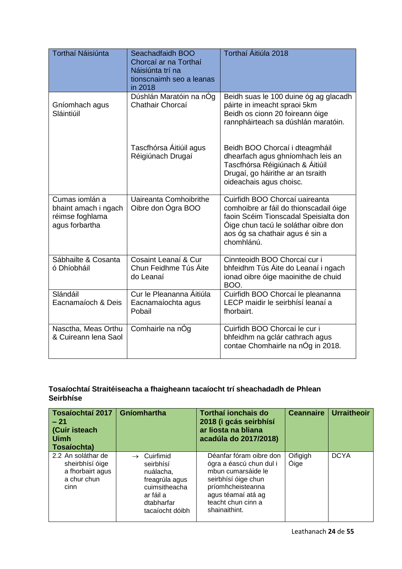| Torthaí Náisiúnta                                                           | Seachadfaidh BOO<br>Chorcaí ar na Torthaí<br>Náisiúnta trí na<br>tionscnaimh seo a leanas<br>in 2018 | Torthaí Áitiúla 2018                                                                                                                                                                                       |
|-----------------------------------------------------------------------------|------------------------------------------------------------------------------------------------------|------------------------------------------------------------------------------------------------------------------------------------------------------------------------------------------------------------|
| Gníomhach agus<br>Sláintiúil                                                | Dúshlán Maratóin na nÓg<br>Chathair Chorcaí                                                          | Beidh suas le 100 duine óg ag glacadh<br>páirte in imeacht spraoi 5km<br>Beidh os cionn 20 foireann óige<br>rannpháirteach sa dúshlán maratóin.                                                            |
|                                                                             | Tascfhórsa Áitiúil agus<br>Réigiúnach Drugaí                                                         | Beidh BOO Chorcaí i dteagmháil<br>dhearfach agus ghníomhach leis an<br>Tascfhórsa Réigiúnach & Áitiúil<br>Drugaí, go háirithe ar an tsraith<br>oideachais agus choisc.                                     |
| Cumas iomlán a<br>bhaint amach i ngach<br>réimse foghlama<br>agus forbartha | Uaireanta Comhoibrithe<br>Oibre don Ógra BOO                                                         | Cuirfidh BOO Chorcaí uaireanta<br>comhoibre ar fáil do thionscadail óige<br>faoin Scéim Tionscadal Speisialta don<br>Óige chun tacú le soláthar oibre don<br>aos óg sa chathair agus é sin a<br>chomhlánú. |
| Sábhailte & Cosanta<br>ó Dhíobháil                                          | Cosaint Leanaí & Cur<br>Chun Feidhme Tús Áite<br>do Leanaí                                           | Cinnteoidh BOO Chorcaí cur i<br>bhfeidhm Tús Áite do Leanaí i ngach<br>ionad oibre óige maoinithe de chuid<br>BOO.                                                                                         |
| Slándáil<br>Eacnamaíoch & Deis                                              | Cur le Pleananna Áitiúla<br>Eacnamaíochta agus<br>Pobail                                             | Cuirfidh BOO Chorcaí le pleananna<br>LECP maidir le seirbhísí leanaí a<br>fhorbairt.                                                                                                                       |
| Nasctha, Meas Orthu<br>& Cuireann lena Saol                                 | Comhairle na nÓg                                                                                     | Cuirfidh BOO Chorcaí le cur i<br>bhfeidhm na gclár cathrach agus<br>contae Chomhairle na nÓg in 2018.                                                                                                      |

| Tosaíochtaí 2017<br>$-21$<br>(Cuir isteach<br>Uimh<br>Tosaíochta)                | Gníomhartha                                                                                                          | Torthaí ionchais do<br>2018 (i gcás seirbhísí<br>ar liosta na bliana<br>acadúla do 2017/2018)                                                                                     | <b>Ceannaire</b> | <b>Urraitheoir</b> |
|----------------------------------------------------------------------------------|----------------------------------------------------------------------------------------------------------------------|-----------------------------------------------------------------------------------------------------------------------------------------------------------------------------------|------------------|--------------------|
| 2.2 An soláthar de<br>sheirbhísí óige<br>a fhorbairt agus<br>a chur chun<br>cinn | Cuirfimid<br>seirbhísí<br>nuálacha,<br>freagrúla agus<br>cuimsitheacha<br>ar fáil a<br>dtabharfar<br>tacaíocht dóibh | Déanfar fóram oibre don<br>ógra a éascú chun dul i<br>mbun cumarsáide le<br>seirbhísí óige chun<br>príomhcheisteanna<br>agus téamaí atá ag<br>teacht chun cinn a<br>shainaithint. | Oifigigh<br>Óige | <b>DCYA</b>        |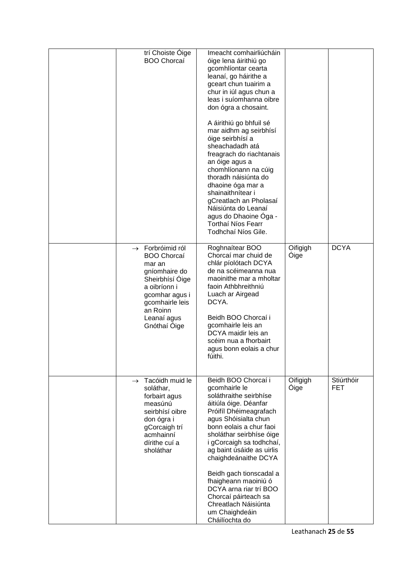| trí Choiste Óige<br><b>BOO Chorcaí</b>                                                                                                                                                           | Imeacht comhairliúcháin<br>óige lena áirithiú go<br>gcomhlíontar cearta<br>leanaí, go háirithe a<br>gceart chun tuairim a<br>chur in iúl agus chun a<br>leas i suíomhanna oibre<br>don ógra a chosaint.<br>A áirithiú go bhfuil sé<br>mar aidhm ag seirbhísí<br>óige seirbhísí a<br>sheachadadh atá<br>freagrach do riachtanais<br>an óige agus a<br>chomhlíonann na cúig<br>thoradh náisiúnta do<br>dhaoine óga mar a<br>shainaithnítear i<br>gCreatlach an Pholasaí<br>Náisiúnta do Leanaí<br>agus do Dhaoine Óga -<br>Torthaí Níos Fearr<br>Todhchaí Níos Gile. |                         |                          |
|--------------------------------------------------------------------------------------------------------------------------------------------------------------------------------------------------|--------------------------------------------------------------------------------------------------------------------------------------------------------------------------------------------------------------------------------------------------------------------------------------------------------------------------------------------------------------------------------------------------------------------------------------------------------------------------------------------------------------------------------------------------------------------|-------------------------|--------------------------|
| $\rightarrow$ Forbróimid ról<br><b>BOO Chorcaí</b><br>mar an<br>gníomhaire do<br>Sheirbhísí Óige<br>a oibríonn i<br>gcomhar agus i<br>gcomhairle leis<br>an Roinn<br>Leanaí agus<br>Gnóthaí Óige | Roghnaítear BOO<br>Chorcaí mar chuid de<br>chlár píolótach DCYA<br>de na scéimeanna nua<br>maoinithe mar a mholtar<br>faoin Athbhreithniú<br>Luach ar Airgead<br>DCYA.<br>Beidh BOO Chorcaí i<br>gcomhairle leis an<br>DCYA maidir leis an<br>scéim nua a fhorbairt<br>agus bonn eolais a chur<br>fúithi.                                                                                                                                                                                                                                                          | Oifigigh<br><b>Oige</b> | <b>DCYA</b>              |
| Tacóidh muid le<br>$\rightarrow$<br>soláthar,<br>forbairt agus<br>measúnú<br>seirbhísí oibre<br>don ógra i<br>gCorcaigh trí<br>acmhainní<br>dírithe cuí a<br>sholáthar                           | Beidh BOO Chorcaí i<br>gcomhairle le<br>soláthraithe seirbhíse<br>áitiúla óige. Déanfar<br>Próifíl Dhéimeagrafach<br>agus Shóisialta chun<br>bonn eolais a chur faoi<br>sholáthar seirbhíse óige<br>i gCorcaigh sa todhchaí,<br>ag baint úsáide as uirlis<br>chaighdeánaithe DCYA<br>Beidh gach tionscadal a<br>fhaigheann maoiniú ó<br>DCYA arna riar trí BOO<br>Chorcaí páirteach sa<br>Chreatlach Náisiúnta<br>um Chaighdeáin<br>Cháilíochta do                                                                                                                 | Oifigigh<br><b>Oige</b> | Stiúrthóir<br><b>FET</b> |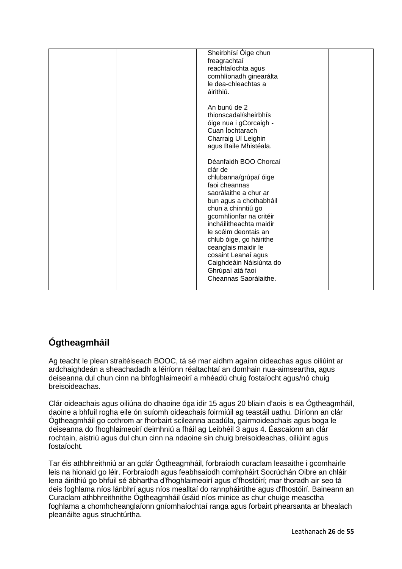|  | Sheirbhísí Óige chun<br>freagrachtaí<br>reachtaíochta agus<br>comhlíonadh ginearálta<br>le dea-chleachtas a<br>áirithiú.                                                                                                                                                                                                                                                           |  |
|--|------------------------------------------------------------------------------------------------------------------------------------------------------------------------------------------------------------------------------------------------------------------------------------------------------------------------------------------------------------------------------------|--|
|  | An bunú de 2<br>thionscadal/sheirbhís<br>óige nua i gCorcaigh -<br>Cuan Íochtarach<br>Charraig Uí Leighin<br>agus Baile Mhistéala.                                                                                                                                                                                                                                                 |  |
|  | Déanfaidh BOO Chorcaí<br>clár de<br>chlubanna/grúpaí óige<br>faoi cheannas<br>saorálaithe a chur ar<br>bun agus a chothabháil<br>chun a chinntiú go<br>gcomhlíonfar na critéir<br>incháilitheachta maidir<br>le scéim deontais an<br>chlub óige, go háirithe<br>ceanglais maidir le<br>cosaint Leanaí agus<br>Caighdeáin Náisiúnta do<br>Ghrúpaí atá faoi<br>Cheannas Saorálaithe. |  |

## **Ógtheagmháil**

Ag teacht le plean straitéiseach BOOC, tá sé mar aidhm againn oideachas agus oiliúint ar ardchaighdeán a sheachadadh a léiríonn réaltachtaí an domhain nua-aimseartha, agus deiseanna dul chun cinn na bhfoghlaimeoirí a mhéadú chuig fostaíocht agus/nó chuig breisoideachas.

Clár oideachais agus oiliúna do dhaoine óga idir 15 agus 20 bliain d'aois is ea Ógtheagmháil, daoine a bhfuil rogha eile ón suíomh oideachais foirmiúil ag teastáil uathu. Díríonn an clár Ógtheagmháil go cothrom ar fhorbairt scileanna acadúla, gairmoideachais agus boga le deiseanna do fhoghlaimeoirí deimhniú a fháil ag Leibhéil 3 agus 4. Éascaíonn an clár rochtain, aistriú agus dul chun cinn na ndaoine sin chuig breisoideachas, oiliúint agus fostaíocht.

Tar éis athbhreithniú ar an gclár Ógtheagmháil, forbraíodh curaclam leasaithe i gcomhairle leis na hionaid go léir. Forbraíodh agus feabhsaíodh comhpháirt Socrúchán Oibre an chláir lena áirithiú go bhfuil sé ábhartha d'fhoghlaimeoirí agus d'fhostóirí; mar thoradh air seo tá deis foghlama níos lánbhrí agus níos mealltaí do rannpháirtithe agus d'fhostóirí. Baineann an Curaclam athbhreithnithe Ógtheagmháil úsáid níos minice as chur chuige measctha foghlama a chomhcheanglaíonn gníomhaíochtaí ranga agus forbairt phearsanta ar bhealach pleanáilte agus struchtúrtha.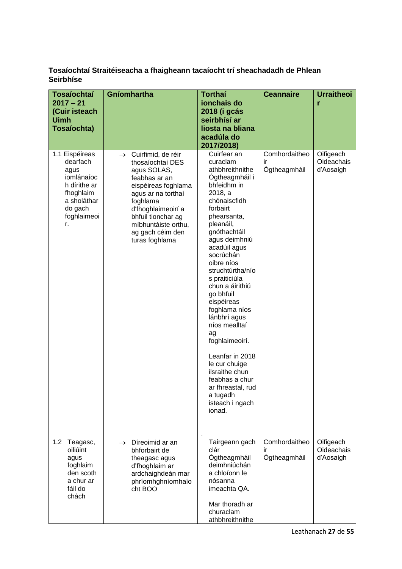| <b>Tosaíochtaí</b><br>$2017 - 21$<br>(Cuir isteach<br><b>Uimh</b><br>Tosaíochta)                                             | Gníomhartha                                                                                                                                                                                                                                            | <b>Torthaí</b><br>ionchais do<br>2018 (i gcás<br>seirbhísí ar<br>liosta na bliana                                                                                                                                                                                                                                                                                                                                                                                                                                             | <b>Ceannaire</b>                    | <b>Urraitheoi</b><br>r               |
|------------------------------------------------------------------------------------------------------------------------------|--------------------------------------------------------------------------------------------------------------------------------------------------------------------------------------------------------------------------------------------------------|-------------------------------------------------------------------------------------------------------------------------------------------------------------------------------------------------------------------------------------------------------------------------------------------------------------------------------------------------------------------------------------------------------------------------------------------------------------------------------------------------------------------------------|-------------------------------------|--------------------------------------|
|                                                                                                                              |                                                                                                                                                                                                                                                        | acadúla do<br>2017/2018)                                                                                                                                                                                                                                                                                                                                                                                                                                                                                                      |                                     |                                      |
| 1.1 Eispéireas<br>dearfach<br>agus<br>iomlánaíoc<br>h dírithe ar<br>fhoghlaim<br>a sholáthar<br>do gach<br>foghlaimeoi<br>r. | $\rightarrow$ Cuirfimid, de réir<br>thosaíochtaí DES<br>agus SOLAS,<br>feabhas ar an<br>eispéireas foghlama<br>agus ar na torthaí<br>foghlama<br>d'fhoghlaimeoirí a<br>bhfuil tionchar ag<br>míbhuntáiste orthu,<br>ag gach céim den<br>turas foghlama | Cuirfear an<br>curaclam<br>athbhreithnithe<br>Ógtheagmháil i<br>bhfeidhm in<br>2018, a<br>chónaiscfidh<br>forbairt<br>phearsanta,<br>pleanáil,<br>gnóthachtáil<br>agus deimhniú<br>acadúil agus<br>socrúchán<br>oibre níos<br>struchtúrtha/nío<br>s praiticiúla<br>chun a áirithiú<br>go bhfuil<br>eispéireas<br>foghlama níos<br>lánbhrí agus<br>níos mealltaí<br>ag<br>foghlaimeoirí.<br>Leanfar in 2018<br>le cur chuige<br>ilsraithe chun<br>feabhas a chur<br>ar fhreastal, rud<br>a tugadh<br>isteach i ngach<br>ionad. | Comhordaitheo<br>ir<br>Ógtheagmháil | Oifigeach<br>Oideachais<br>d'Aosaigh |
| 1.2 <sub>1</sub><br>Teagasc,<br>oiliúint<br>agus<br>foghlaim<br>den scoth<br>a chur ar<br>fáil do<br>chách                   | Díreoimid ar an<br>$\rightarrow$<br>bhforbairt de<br>theagasc agus<br>d'fhoghlaim ar<br>ardchaighdeán mar<br>phríomhghníomhaío<br>cht BOO                                                                                                              | Tairgeann gach<br>clár<br>Ógtheagmháil<br>deimhniúchán<br>a chloíonn le<br>nósanna<br>imeachta QA.<br>Mar thoradh ar<br>churaclam<br>athbhreithnithe                                                                                                                                                                                                                                                                                                                                                                          | Comhordaitheo<br>ır<br>Ógtheagmháil | Oifigeach<br>Oideachais<br>d'Aosaigh |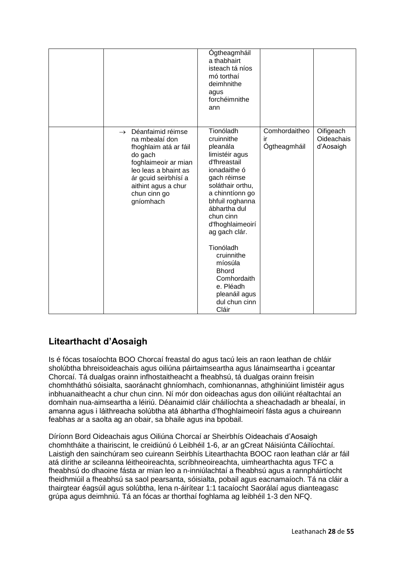|                                                                                                                                                                                                                      | Ógtheagmháil<br>a thabhairt<br>isteach tá níos<br>mó torthaí<br>deimhnithe<br>agus<br>forchéimnithe<br>ann                                                                                                                                                                                                                                                    |                                     |                                      |
|----------------------------------------------------------------------------------------------------------------------------------------------------------------------------------------------------------------------|---------------------------------------------------------------------------------------------------------------------------------------------------------------------------------------------------------------------------------------------------------------------------------------------------------------------------------------------------------------|-------------------------------------|--------------------------------------|
| Déanfaimid réimse<br>$\rightarrow$<br>na mbealaí don<br>fhoghlaim atá ar fáil<br>do gach<br>foghlaimeoir ar mian<br>leo leas a bhaint as<br>ár gcuid seirbhísí a<br>aithint agus a chur<br>chun cinn go<br>gníomhach | Tionóladh<br>cruinnithe<br>pleanála<br>limistéir agus<br>d'fhreastail<br>ionadaithe ó<br>gach réimse<br>soláthair orthu,<br>a chinntíonn go<br>bhfuil roghanna<br>ábhartha dul<br>chun cinn<br>d'fhoghlaimeoirí<br>ag gach clár.<br>Tionóladh<br>cruinnithe<br>míosúla<br><b>Bhord</b><br>Comhordaith<br>e. Pléadh<br>pleanáil agus<br>dul chun cinn<br>Cláir | Comhordaitheo<br>ir<br>Ógtheagmháil | Oifigeach<br>Oideachais<br>d'Aosaigh |

## **Litearthacht d'Aosaigh**

Is é fócas tosaíochta BOO Chorcaí freastal do agus tacú leis an raon leathan de chláir sholúbtha bhreisoideachais agus oiliúna páirtaimseartha agus lánaimseartha i gceantar Chorcaí. Tá dualgas orainn infhostaitheacht a fheabhsú, tá dualgas orainn freisin chomhtháthú sóisialta, saoránacht ghníomhach, comhionannas, athghiniúint limistéir agus inbhuanaitheacht a chur chun cinn. Ní mór don oideachas agus don oiliúint réaltachtaí an domhain nua-aimseartha a léiriú. Déanaimid cláir cháilíochta a sheachadadh ar bhealaí, in amanna agus i láithreacha solúbtha atá ábhartha d'fhoghlaimeoirí fásta agus a chuireann feabhas ar a saolta ag an obair, sa bhaile agus ina bpobail.

Díríonn Bord Oideachais agus Oiliúna Chorcaí ar Sheirbhís Oideachais d'Aosaigh chomhtháite a thairiscint, le creidiúnú ó Leibhéil 1-6, ar an gCreat Náisiúnta Cáilíochtaí. Laistigh den sainchúram seo cuireann Seirbhís Litearthachta BOOC raon leathan clár ar fáil atá dírithe ar scileanna léitheoireachta, scríbhneoireachta, uimhearthachta agus TFC a fheabhsú do dhaoine fásta ar mian leo a n-inniúlachtaí a fheabhsú agus a rannpháirtíocht fheidhmiúil a fheabhsú sa saol pearsanta, sóisialta, pobail agus eacnamaíoch. Tá na cláir a thairgtear éagsúil agus solúbtha, lena n-áirítear 1:1 tacaíocht Saorálaí agus dianteagasc grúpa agus deimhniú. Tá an fócas ar thorthaí foghlama ag leibhéil 1-3 den NFQ.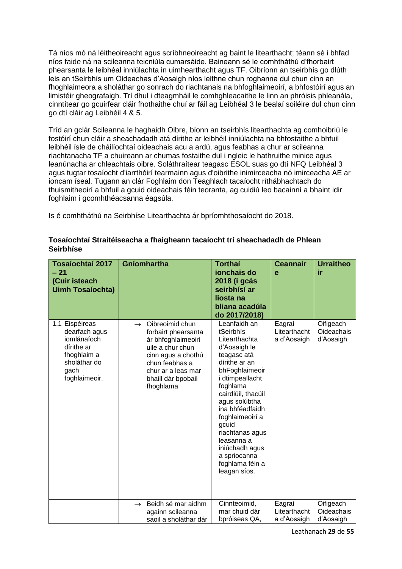Tá níos mó ná léitheoireacht agus scríbhneoireacht ag baint le litearthacht; téann sé i bhfad níos faide ná na scileanna teicniúla cumarsáide. Baineann sé le comhtháthú d'fhorbairt phearsanta le leibhéal inniúlachta in uimhearthacht agus TF. Oibríonn an tseirbhís go dlúth leis an tSeirbhís um Oideachas d'Aosaigh níos leithne chun roghanna dul chun cinn an fhoghlaimeora a sholáthar go sonrach do riachtanais na bhfoghlaimeoirí, a bhfostóirí agus an limistéir gheografaigh. Trí dhul i dteagmháil le comhghleacaithe le linn an phróisis phleanála, cinntítear go gcuirfear cláir fhothaithe chuí ar fáil ag Leibhéal 3 le bealaí soiléire dul chun cinn go dtí cláir ag Leibhéil 4 & 5.

Tríd an gclár Scileanna le haghaidh Oibre, bíonn an tseirbhís litearthachta ag comhoibriú le fostóirí chun cláir a sheachadadh atá dírithe ar leibhéil inniúlachta na bhfostaithe a bhfuil leibhéil ísle de cháilíochtaí oideachais acu a ardú, agus feabhas a chur ar scileanna riachtanacha TF a chuireann ar chumas fostaithe dul i ngleic le hathruithe minice agus leanúnacha ar chleachtais oibre. Soláthraítear teagasc ESOL suas go dtí NFQ Leibhéal 3 agus tugtar tosaíocht d'iarrthóirí tearmainn agus d'oibrithe inimirceacha nó imirceacha AE ar ioncam íseal. Tugann an clár Foghlaim don Teaghlach tacaíocht ríthábhachtach do thuismitheoirí a bhfuil a gcuid oideachais féin teoranta, ag cuidiú leo bacainní a bhaint idir foghlaim i gcomhthéacsanna éagsúla.

Is é comhtháthú na Seirbhíse Litearthachta ár bpríomhthosaíocht do 2018.

| <b>Tosaíochtaí 2017</b><br>$-21$<br>(Cuir isteach<br><b>Uimh Tosaíochta)</b>                                         | Gníomhartha                                                                                                                                                                                        | <b>Torthaí</b><br>ionchais do<br>2018 (i gcás<br>seirbhísí ar<br>liosta na<br>bliana acadúla<br>do 2017/2018)                                                                                                                                                                                                                           | <b>Ceannair</b><br>e                  | <b>Urraitheo</b><br>ir               |
|----------------------------------------------------------------------------------------------------------------------|----------------------------------------------------------------------------------------------------------------------------------------------------------------------------------------------------|-----------------------------------------------------------------------------------------------------------------------------------------------------------------------------------------------------------------------------------------------------------------------------------------------------------------------------------------|---------------------------------------|--------------------------------------|
| 1.1 Eispéireas<br>dearfach agus<br>iomlánaíoch<br>dírithe ar<br>fhoghlaim a<br>sholáthar do<br>gach<br>foghlaimeoir. | Oibreoimid chun<br>$\rightarrow$<br>forbairt phearsanta<br>ár bhfoghlaimeoirí<br>uile a chur chun<br>cinn agus a chothú<br>chun feabhas a<br>chur ar a leas mar<br>bhaill dár bpobail<br>fhoghlama | Leanfaidh an<br>tSeirbhís<br>Litearthachta<br>d'Aosaigh le<br>teagasc atá<br>dírithe ar an<br>bhFoghlaimeoir<br>i dtimpeallacht<br>foghlama<br>cairdiúil, thacúil<br>agus solúbtha<br>ina bhféadfaidh<br>foghlaimeoirí a<br>gcuid<br>riachtanas agus<br>leasanna a<br>iniúchadh agus<br>a spriocanna<br>foghlama féin a<br>leagan síos. | Eagraí<br>Litearthacht<br>a d'Aosaigh | Oifigeach<br>Oideachais<br>d'Aosaigh |
|                                                                                                                      | Beidh sé mar aidhm<br>$\rightarrow$<br>againn scileanna<br>saoil a sholáthar dár                                                                                                                   | Cinnteoimid,<br>mar chuid dár<br>bpróiseas QA,                                                                                                                                                                                                                                                                                          | Eagraí<br>Litearthacht<br>a d'Aosaigh | Oifigeach<br>Oideachais<br>d'Aosaigh |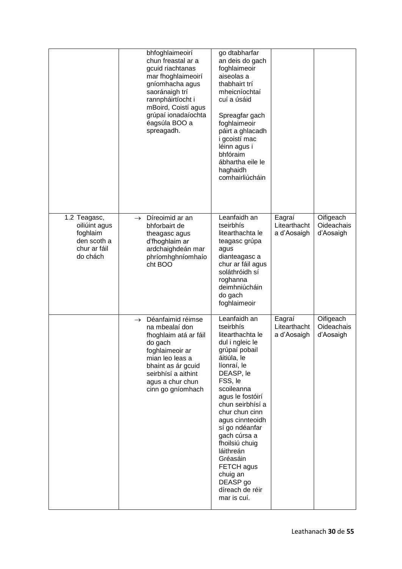|                                                                                      | bhfoghlaimeoirí<br>chun freastal ar a<br>gcuid riachtanas<br>mar fhoghlaimeoirí<br>gníomhacha agus<br>saoránaigh trí<br>rannpháirtíocht i<br>mBoird, Coistí agus<br>grúpaí ionadaíochta<br>éagsúla BOO a<br>spreagadh. | go dtabharfar<br>an deis do gach<br>foghlaimeoir<br>aiseolas a<br>thabhairt trí<br>mheicníochtaí<br>cuí a úsáid<br>Spreagfar gach<br>foghlaimeoir<br>páirt a ghlacadh<br>i gcoistí mac<br>léinn agus i<br>bhfóraim<br>ábhartha eile le<br>haghaidh<br>comhairliúcháin                                                                                                                   |                                       |                                      |
|--------------------------------------------------------------------------------------|------------------------------------------------------------------------------------------------------------------------------------------------------------------------------------------------------------------------|-----------------------------------------------------------------------------------------------------------------------------------------------------------------------------------------------------------------------------------------------------------------------------------------------------------------------------------------------------------------------------------------|---------------------------------------|--------------------------------------|
| 1.2 Teagasc,<br>oiliúint agus<br>foghlaim<br>den scoth a<br>chur ar fáil<br>do chách | Díreoimid ar an<br>$\rightarrow$<br>bhforbairt de<br>theagasc agus<br>d'fhoghlaim ar<br>ardchaighdeán mar<br>phríomhghníomhaío<br>cht BOO                                                                              | Leanfaidh an<br>tseirbhís<br>litearthachta le<br>teagasc grúpa<br>agus<br>dianteagasc a<br>chur ar fáil agus<br>soláthróidh sí<br>roghanna<br>deimhniúcháin<br>do gach<br>foghlaimeoir                                                                                                                                                                                                  | Eagraí<br>Litearthacht<br>a d'Aosaigh | Oifigeach<br>Oideachais<br>d'Aosaigh |
|                                                                                      | Déanfaimid réimse<br>$\rightarrow$<br>na mbealaí don<br>fhoghlaim atá ar fáil<br>do gach<br>foghlaimeoir ar<br>mian leo leas a<br>bhaint as ár gcuid<br>seirbhísí a aithint<br>agus a chur chun<br>cinn go gníomhach   | Leanfaidh an<br>tseirbhís<br>litearthachta le<br>dul i ngleic le<br>grúpaí pobail<br>áitiúla, le<br>líonraí, le<br>DEASP, le<br>FSS, le<br>scoileanna<br>agus le fostóirí<br>chun seirbhísí a<br>chur chun cinn<br>agus cinnteoidh<br>sí go ndéanfar<br>gach cúrsa a<br>fhoilsiú chuig<br>láithreán<br>Gréasáin<br>FETCH agus<br>chuig an<br>DEASP go<br>díreach de réir<br>mar is cuí. | Eagraí<br>Litearthacht<br>a d'Aosaigh | Oifigeach<br>Oideachais<br>d'Aosaigh |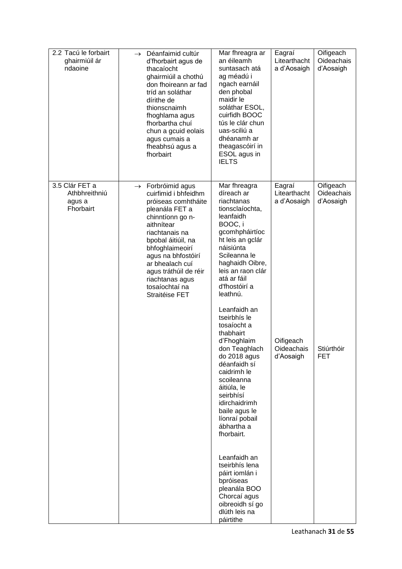| 2.2 Tacú le forbairt<br>ghairmiúil ár<br>ndaoine       | $\rightarrow$ Déanfaimid cultúr<br>d'fhorbairt agus de<br>thacaíocht<br>ghairmiúil a chothú<br>don fhoireann ar fad<br>tríd an soláthar<br>dírithe de<br>thionscnaimh<br>fhoghlama agus<br>fhorbartha chuí<br>chun a gcuid eolais<br>agus cumais a<br>fheabhsú agus a<br>fhorbairt                                   | Mar fhreagra ar<br>an éileamh<br>suntasach atá<br>ag méadú i<br>ngach earnáil<br>den phobal<br>maidir le<br>soláthar ESOL,<br>cuirfidh BOOC<br>tús le clár chun<br>uas-sciliú a<br>dhéanamh ar<br>theagascóirí in<br>ESOL agus in<br><b>IELTS</b>                 | Eagraí<br>Litearthacht<br>a d'Aosaigh | Oifigeach<br>Oideachais<br>d'Aosaigh |
|--------------------------------------------------------|----------------------------------------------------------------------------------------------------------------------------------------------------------------------------------------------------------------------------------------------------------------------------------------------------------------------|-------------------------------------------------------------------------------------------------------------------------------------------------------------------------------------------------------------------------------------------------------------------|---------------------------------------|--------------------------------------|
| 3.5 Clár FET a<br>Athbhreithniú<br>agus a<br>Fhorbairt | $\rightarrow$ Forbróimid agus<br>cuirfimid i bhfeidhm<br>próiseas comhtháite<br>pleanála FET a<br>chinntíonn go n-<br>aithnítear<br>riachtanais na<br>bpobal áitiúil, na<br>bhfoghlaimeoirí<br>agus na bhfostóirí<br>ar bhealach cuí<br>agus tráthúil de réir<br>riachtanas agus<br>tosaíochtaí na<br>Straitéise FET | Mar fhreagra<br>díreach ar<br>riachtanas<br>tionsclaíochta,<br>leanfaidh<br>BOOC, i<br>gcomhpháirtíoc<br>ht leis an gclár<br>náisiúnta<br>Scileanna le<br>haghaidh Oibre,<br>leis an raon clár<br>atá ar fáil<br>d'fhostóirí a<br>leathnú.                        | Eagraí<br>Litearthacht<br>a d'Aosaigh | Oifigeach<br>Oideachais<br>d'Aosaigh |
|                                                        |                                                                                                                                                                                                                                                                                                                      | Leanfaidh an<br>tseirbhís le<br>tosaíocht a<br>thabhairt<br>d'Fhoghlaim<br>don Teaghlach<br>do 2018 agus<br>déanfaidh sí<br>caidrimh le<br>scoileanna<br>áitiúla, le<br>seirbhísí<br>idirchaidrimh<br>baile agus le<br>líonraí pobail<br>ábhartha a<br>fhorbairt. | Oifigeach<br>Oideachais<br>d'Aosaigh  | Stiúrthóir<br><b>FET</b>             |
|                                                        |                                                                                                                                                                                                                                                                                                                      | Leanfaidh an<br>tseirbhís lena<br>páirt iomlán i<br>bpróiseas<br>pleanála BOO<br>Chorcaí agus<br>oibreoidh sí go<br>dlúth leis na<br>páirtithe                                                                                                                    |                                       |                                      |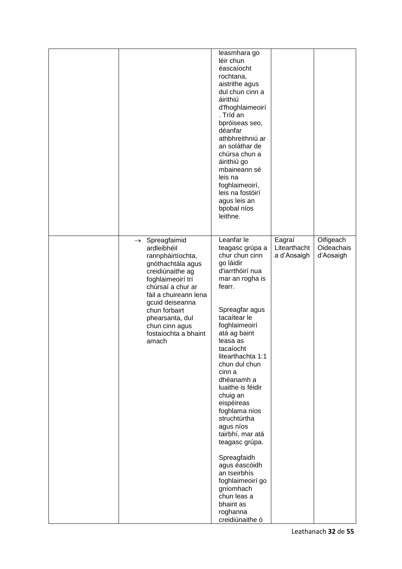|                                                                                                                                                                                                                                                                                      | leasmhara go<br>léir chun<br>éascaíocht<br>rochtana,<br>aistrithe agus<br>dul chun cinn a<br>áirithiú<br>d'fhoghlaimeoirí<br>. Tríd an<br>bpróiseas seo,<br>déanfar<br>athbhreithniú ar<br>an soláthar de<br>chúrsa chun a<br>áirithiú go<br>mbaineann sé<br>leis na<br>foghlaimeoirí,<br>leis na fostóirí<br>agus leis an<br>bpobal níos<br>leithne.                                                                                                                                                                   |                                       |                                      |
|--------------------------------------------------------------------------------------------------------------------------------------------------------------------------------------------------------------------------------------------------------------------------------------|-------------------------------------------------------------------------------------------------------------------------------------------------------------------------------------------------------------------------------------------------------------------------------------------------------------------------------------------------------------------------------------------------------------------------------------------------------------------------------------------------------------------------|---------------------------------------|--------------------------------------|
| $\rightarrow$ Spreagfaimid<br>ardleibhéil<br>rannpháirtíochta,<br>gnóthachtála agus<br>creidiúnaithe ag<br>foghlaimeoirí trí<br>chúrsaí a chur ar<br>fáil a chuireann lena<br>gcuid deiseanna<br>chun forbairt<br>phearsanta, dul<br>chun cinn agus<br>fostaíochta a bhaint<br>amach | Leanfar le<br>teagasc grúpa a<br>chur chun cinn<br>go láidir<br>d'iarrthóirí nua<br>mar an rogha is<br>fearr.<br>Spreagfar agus<br>tacaítear le<br>foghlaimeoirí<br>atá ag baint<br>leasa as<br>tacaíocht<br>litearthachta 1:1<br>chun dul chun<br>cinn a<br>dhéanamh a<br>luaithe is féidir<br>chuig an<br>eispéireas<br>foghlama níos<br>struchtúrtha<br>agus níos<br>tairbhí, mar atá<br>teagasc grúpa.<br>Spreagfaidh<br>agus éascóidh<br>an tseirbhís<br>foghlaimeoirí go<br>gníomhach<br>chun leas a<br>bhaint as | Eagraí<br>Litearthacht<br>a d'Aosaigh | Oifigeach<br>Oideachais<br>d'Aosaigh |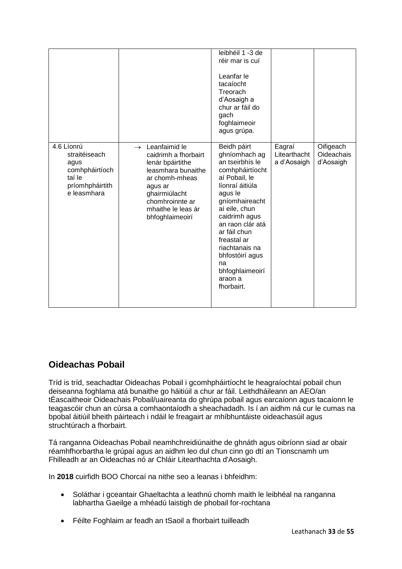|                                                                                                   |                                                                                                                                                                                                            | leibhéil 1 -3 de<br>réir mar is cuí<br>Leanfar le<br>tacaíocht<br>Treorach<br>d'Aosaigh a<br>chur ar fáil do<br>gach<br>foghlaimeoir<br>agus grúpa.                                                                                                                                                             |                                       |                                      |
|---------------------------------------------------------------------------------------------------|------------------------------------------------------------------------------------------------------------------------------------------------------------------------------------------------------------|-----------------------------------------------------------------------------------------------------------------------------------------------------------------------------------------------------------------------------------------------------------------------------------------------------------------|---------------------------------------|--------------------------------------|
| 4.6 Líonrú<br>straitéiseach<br>agus<br>comhpháirtíoch<br>taí le<br>príomhpháirtith<br>e leasmhara | Leanfaimid le<br>$\rightarrow$<br>caidrimh a fhorbairt<br>lenár bpáirtithe<br>leasmhara bunaithe<br>ar chomh-mheas<br>agus ar<br>ghairmiúlacht<br>chomhroinnte ar<br>mhaithe le leas ár<br>bhfoghlaimeoirí | Beidh páirt<br>ghníomhach ag<br>an tseirbhís le<br>comhpháirtíocht<br>aí Pobail, le<br>líonraí áitiúla<br>agus le<br>gníomhaireacht<br>aí eile, chun<br>caidrimh agus<br>an raon clár atá<br>ar fáil chun<br>freastal ar<br>riachtanais na<br>bhfostóirí agus<br>na<br>bhfoghlaimeoirí<br>araon a<br>fhorbairt. | Eagraí<br>Litearthacht<br>a d'Aosaigh | Oifigeach<br>Oideachais<br>d'Aosaigh |

## **Oideachas Pobail**

Tríd is tríd, seachadtar Oideachas Pobail i gcomhpháirtíocht le heagraíochtaí pobail chun deiseanna foghlama atá bunaithe go háitiúil a chur ar fáil. Leithdháileann an AEO/an tÉascaitheoir Oideachais Pobail/uaireanta do ghrúpa pobail agus earcaíonn agus tacaíonn le teagascóir chun an cúrsa a comhaontaíodh a sheachadadh. Is í an aidhm ná cur le cumas na bpobal áitiúil bheith páirteach i ndáil le freagairt ar mhíbhuntáiste oideachasúil agus struchtúrach a fhorbairt.

Tá ranganna Oideachas Pobail neamhchreidiúnaithe de ghnáth agus oibríonn siad ar obair réamhfhorbartha le grúpaí agus an aidhm leo dul chun cinn go dtí an Tionscnamh um Fhilleadh ar an Oideachas nó ar Chláir Litearthachta d'Aosaigh.

In **2018** cuirfidh BOO Chorcaí na nithe seo a leanas i bhfeidhm:

- Soláthar i gceantair Ghaeltachta a leathnú chomh maith le leibhéal na ranganna labhartha Gaeilge a mhéadú laistigh de phobail for-rochtana
- Féilte Foghlaim ar feadh an tSaoil a fhorbairt tuilleadh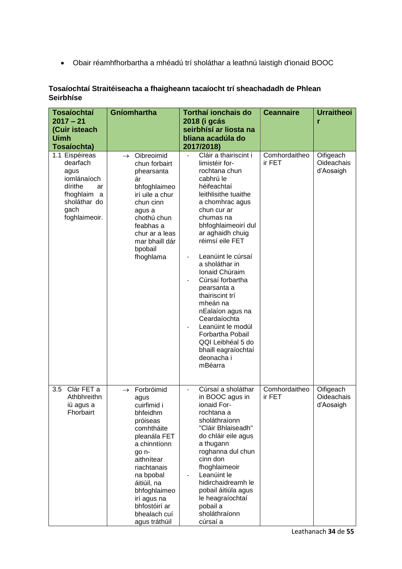• Obair réamhfhorbartha a mhéadú trí sholáthar a leathnú laistigh d'ionaid BOOC

| <b>Tosaíochtaí</b><br>$2017 - 21$<br>(Cuir isteach<br><b>Uimh</b><br>Tosaíochta)                                              | Gníomhartha                                                                                                                                                                                                                                                                 | Torthaí ionchais do<br>2018 (i gcás<br>seirbhísí ar liosta na<br>bliana acadúla do<br>2017/2018)                                                                                                                                                                                                                                                                                                                                                                                                                                    | <b>Ceannaire</b>        | <b>Urraitheoi</b><br>r               |
|-------------------------------------------------------------------------------------------------------------------------------|-----------------------------------------------------------------------------------------------------------------------------------------------------------------------------------------------------------------------------------------------------------------------------|-------------------------------------------------------------------------------------------------------------------------------------------------------------------------------------------------------------------------------------------------------------------------------------------------------------------------------------------------------------------------------------------------------------------------------------------------------------------------------------------------------------------------------------|-------------------------|--------------------------------------|
| 1.1 Eispéireas<br>dearfach<br>agus<br>iomlánaíoch<br>dírithe<br>ar<br>fhoghlaim<br>a<br>sholáthar do<br>gach<br>foghlaimeoir. | Oibreoimid<br>$\rightarrow$<br>chun forbairt<br>phearsanta<br>ár<br>bhfoghlaimeo<br>irí uile a chur<br>chun cinn<br>agus a<br>chothú chun<br>feabhas a<br>chur ar a leas<br>mar bhaill dár<br>bpobail<br>fhoghlama                                                          | Cláir a thairiscint i<br>limistéir for-<br>rochtana chun<br>cabhrú le<br>héifeachtaí<br>leithlisithe tuaithe<br>a chomhrac agus<br>chun cur ar<br>chumas na<br>bhfoghlaimeoirí dul<br>ar aghaidh chuig<br>réimsí eile FET<br>Leanúint le cúrsaí<br>$\overline{\phantom{a}}$<br>a sholáthar in<br>Ionaid Chúraim<br>Cúrsaí forbartha<br>pearsanta a<br>thairiscint trí<br>mheán na<br>nEalaíon agus na<br>Ceardaíochta<br>Leanúint le modúl<br>Forbartha Pobail<br>QQI Leibhéal 5 do<br>bhaill eagraíochtaí<br>deonacha i<br>mBéarra | Comhordaitheo<br>ir FET | Oifigeach<br>Oideachais<br>d'Aosaigh |
| Clár FET a<br>3.5<br>Athbhreithn<br>iú agus a<br>Fhorbairt                                                                    | Forbróimid<br>$\rightarrow$<br>agus<br>cuirfimid i<br>bhfeidhm<br>próiseas<br>comhtháite<br>pleanála FET<br>a chinntíonn<br>go n-<br>aithnítear<br>riachtanais<br>na bpobal<br>áitiúil, na<br>bhfoghlaimeo<br>irí agus na<br>bhfostóirí ar<br>bhealach cuí<br>agus tráthúil | Cúrsaí a sholáthar<br>in BOOC agus in<br>ionaid For-<br>rochtana a<br>sholáthraíonn<br>"Cláir Bhlaiseadh"<br>do chláir eile agus<br>a thugann<br>roghanna dul chun<br>cinn don<br>fhoghlaimeoir<br>Leanúint le<br>hidirchaidreamh le<br>pobail áitiúla agus<br>le heagraíochtaí<br>pobail a<br>sholáthraíonn<br>cúrsaí a                                                                                                                                                                                                            | Comhordaitheo<br>ir FET | Oifigeach<br>Oideachais<br>d'Aosaigh |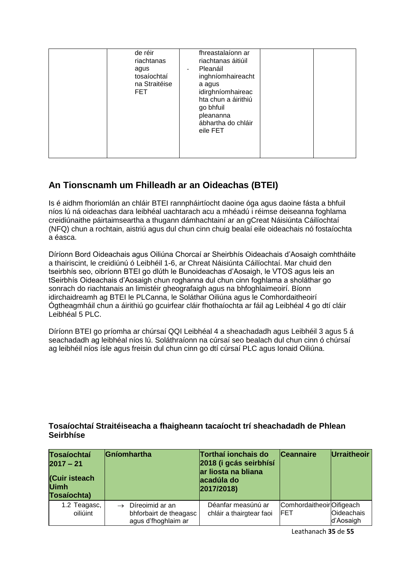| de réir<br>riachtanas<br>agus<br>tosaíochtaí<br>na Straitéise<br>FET. | fhreastalaíonn ar<br>riachtanas áitiúil<br>Pleanáil<br>$\overline{\phantom{0}}$<br>inghníomhaireacht<br>a agus<br>idirghníomhaireac<br>hta chun a áirithiú<br>go bhfuil<br>pleananna<br>ábhartha do chláir<br>eile FET |  |  |
|-----------------------------------------------------------------------|------------------------------------------------------------------------------------------------------------------------------------------------------------------------------------------------------------------------|--|--|
|-----------------------------------------------------------------------|------------------------------------------------------------------------------------------------------------------------------------------------------------------------------------------------------------------------|--|--|

## **An Tionscnamh um Fhilleadh ar an Oideachas (BTEI)**

Is é aidhm fhoriomlán an chláir BTEI rannpháirtíocht daoine óga agus daoine fásta a bhfuil níos lú ná oideachas dara leibhéal uachtarach acu a mhéadú i réimse deiseanna foghlama creidiúnaithe páirtaimseartha a thugann dámhachtainí ar an gCreat Náisiúnta Cáilíochtaí (NFQ) chun a rochtain, aistriú agus dul chun cinn chuig bealaí eile oideachais nó fostaíochta a éasca.

Díríonn Bord Oideachais agus Oiliúna Chorcaí ar Sheirbhís Oideachais d'Aosaigh comhtháite a thairiscint, le creidiúnú ó Leibhéil 1-6, ar Chreat Náisiúnta Cáilíochtaí. Mar chuid den tseirbhís seo, oibríonn BTEI go dlúth le Bunoideachas d'Aosaigh, le VTOS agus leis an tSeirbhís Oideachais d'Aosaigh chun roghanna dul chun cinn foghlama a sholáthar go sonrach do riachtanais an limistéir gheografaigh agus na bhfoghlaimeoirí. Bíonn idirchaidreamh ag BTEI le PLCanna, le Soláthar Oiliúna agus le Comhordaitheoirí Ógtheagmháil chun a áirithiú go gcuirfear cláir fhothaíochta ar fáil ag Leibhéal 4 go dtí cláir Leibhéal 5 PLC.

Díríonn BTEI go príomha ar chúrsaí QQI Leibhéal 4 a sheachadadh agus Leibhéil 3 agus 5 á seachadadh ag leibhéal níos lú. Soláthraíonn na cúrsaí seo bealach dul chun cinn ó chúrsaí ag leibhéil níos ísle agus freisin dul chun cinn go dtí cúrsaí PLC agus Ionaid Oiliúna.

| <b>Tosaíochtaí</b><br>$2017 - 21$<br>(Cuir isteach<br><b>Uimh</b><br>Tosaíochta) | Gníomhartha                                                      | Torthaí ionchais do<br>2018 (i gcás seirbhísí<br>ar liosta na bliana<br>acadúla do<br>2017/2018) | <b>Ceannaire</b>                        | Urraitheoir             |
|----------------------------------------------------------------------------------|------------------------------------------------------------------|--------------------------------------------------------------------------------------------------|-----------------------------------------|-------------------------|
| 1.2 Teagasc,<br>oiliúint                                                         | Díreoimid ar an<br>bhforbairt de theagasc<br>agus d'fhoghlaim ar | Déanfar measúnú ar<br>chláir a thairgtear faoi                                                   | ComhordaitheoirOifigeach<br><b>IFET</b> | Oideachais<br>d'Aosaigh |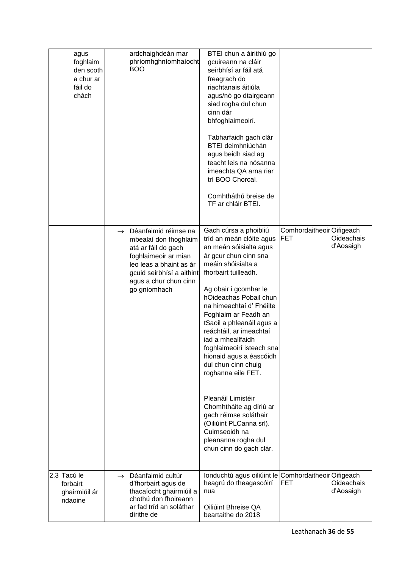| agus<br>foghlaim<br>den scoth<br>a chur ar<br>fáil do<br>chách | ardchaighdeán mar<br>phríomhghníomhaíocht<br><b>BOO</b>                                                                                                                                                        | BTEI chun a áirithiú go<br>gcuireann na cláir<br>seirbhísí ar fáil atá<br>freagrach do<br>riachtanais áitiúla<br>agus/nó go dtairgeann<br>siad rogha dul chun<br>cinn dár<br>bhfoghlaimeoirí.<br>Tabharfaidh gach clár<br>BTEI deimhniúchán<br>agus beidh siad ag<br>teacht leis na nósanna<br>imeachta QA arna riar<br>trí BOO Chorcaí.<br>Comhtháthú breise de<br>TF ar chláir BTEI.                                                                                                                                                                                                                              |                                  |                         |
|----------------------------------------------------------------|----------------------------------------------------------------------------------------------------------------------------------------------------------------------------------------------------------------|---------------------------------------------------------------------------------------------------------------------------------------------------------------------------------------------------------------------------------------------------------------------------------------------------------------------------------------------------------------------------------------------------------------------------------------------------------------------------------------------------------------------------------------------------------------------------------------------------------------------|----------------------------------|-------------------------|
|                                                                | Déanfaimid réimse na<br>$\rightarrow$<br>mbealaí don fhoghlaim<br>atá ar fáil do gach<br>foghlaimeoir ar mian<br>leo leas a bhaint as ár<br>gcuid seirbhísí a aithint<br>agus a chur chun cinn<br>go gníomhach | Gach cúrsa a phoibliú<br>tríd an meán clóite agus<br>an meán sóisialta agus<br>ár gcur chun cinn sna<br>meáin shóisialta a<br>fhorbairt tuilleadh.<br>Ag obair i gcomhar le<br>hOideachas Pobail chun<br>na himeachtaí d' Fhéilte<br>Foghlaim ar Feadh an<br>tSaoil a phleanáil agus a<br>reáchtáil, ar imeachtaí<br>iad a mheallfaidh<br>foghlaimeoirí isteach sna<br>hionaid agus a éascóidh<br>dul chun cinn chuig<br>roghanna eile FET.<br>Pleanáil Limistéir<br>Chomhtháite ag díriú ar<br>gach réimse soláthair<br>(Oiliúint PLCanna srl).<br>Cuimseoidh na<br>pleananna rogha dul<br>chun cinn do gach clár. | Comhordaitheoir Oifigeach<br>FET | Oideachais<br>d'Aosaigh |
| 2.3 Tacú le<br>forbairt<br>ghairmiúil ár<br>ndaoine            | $\rightarrow$ Déanfaimid cultúr<br>d'fhorbairt agus de<br>thacaíocht ghairmiúil a<br>chothú don fhoireann<br>ar fad tríd an soláthar<br>dírithe de                                                             | Ionduchtú agus oiliúint le Comhordaitheoir Oifigeach<br>heagrú do theagascóirí<br>nua<br>Oiliúint Bhreise QA<br>beartaithe do 2018                                                                                                                                                                                                                                                                                                                                                                                                                                                                                  | <b>IFET</b>                      | Oideachais<br>d'Aosaigh |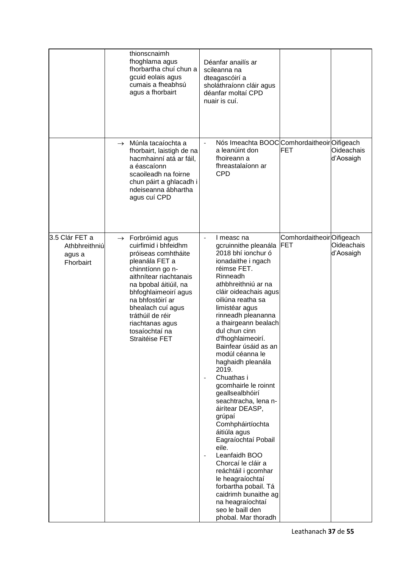|                                                        | thionscnaimh<br>fhoghlama agus<br>fhorbartha chuí chun a<br>gcuid eolais agus<br>cumais a fheabhsú<br>agus a fhorbairt                                                                                                                                                                                            | Déanfar anailís ar<br>scileanna na<br>dteagascóirí a<br>sholáthraíonn cláir agus<br>déanfar moltaí CPD<br>nuair is cuí.                                                                                                                                                                                                                                                                                                                                                                                                                                                                                                                                                                                                                                                                        |                                 |                         |
|--------------------------------------------------------|-------------------------------------------------------------------------------------------------------------------------------------------------------------------------------------------------------------------------------------------------------------------------------------------------------------------|------------------------------------------------------------------------------------------------------------------------------------------------------------------------------------------------------------------------------------------------------------------------------------------------------------------------------------------------------------------------------------------------------------------------------------------------------------------------------------------------------------------------------------------------------------------------------------------------------------------------------------------------------------------------------------------------------------------------------------------------------------------------------------------------|---------------------------------|-------------------------|
|                                                        | Múnla tacaíochta a<br>$\rightarrow$<br>fhorbairt, laistigh de na<br>hacmhainní atá ar fáil,<br>a éascaíonn<br>scaoileadh na foirne<br>chun páirt a ghlacadh i<br>ndeiseanna ábhartha<br>agus cuí CPD                                                                                                              | Nós Imeachta BOOC Comhordaitheoir Oifigeach<br>$\overline{\phantom{a}}$<br>a leanúint don<br>fhoireann a<br>fhreastalaíonn ar<br><b>CPD</b>                                                                                                                                                                                                                                                                                                                                                                                                                                                                                                                                                                                                                                                    | <b>FET</b>                      | Oideachais<br>d'Aosaigh |
| 3.5 Clár FET a<br>Athbhreithniú<br>agus a<br>Fhorbairt | $\rightarrow$ Forbróimid agus<br>cuirfimid i bhfeidhm<br>próiseas comhtháite<br>pleanála FET a<br>chinntíonn go n-<br>aithnítear riachtanais<br>na bpobal áitiúil, na<br>bhfoghlaimeoirí agus<br>na bhfostóirí ar<br>bhealach cuí agus<br>tráthúil de réir<br>riachtanas agus<br>tosaíochtaí na<br>Straitéise FET | I measc na<br>$\overline{\phantom{0}}$<br>gcruinnithe pleanála<br>2018 bhí ionchur ó<br>ionadaithe i ngach<br>réimse FET.<br>Rinneadh<br>athbhreithniú ar na<br>cláir oideachais agus<br>oiliúna reatha sa<br>limistéar agus<br>rinneadh pleananna<br>a thairgeann bealach<br>dul chun cinn<br>d'fhoghlaimeoirí.<br>Bainfear úsáid as an<br>modúl céanna le<br>haghaidh pleanála<br>2019.<br>Chuathas i<br>$\overline{a}$<br>gcomhairle le roinnt<br>geallsealbhóirí<br>seachtracha, lena n-<br>áirítear DEASP,<br>grúpaí<br>Comhpháirtíochta<br>áitiúla agus<br>Eagraíochtaí Pobail<br>eile.<br>Leanfaidh BOO<br>Chorcaí le cláir a<br>reáchtáil i gcomhar<br>le heagraíochtaí<br>forbartha pobail. Tá<br>caidrimh bunaithe ag<br>na heagraíochtaí<br>seo le baill den<br>phobal. Mar thoradh | ComhordaitheoirOifigeach<br>FET | Oideachais<br>d'Aosaigh |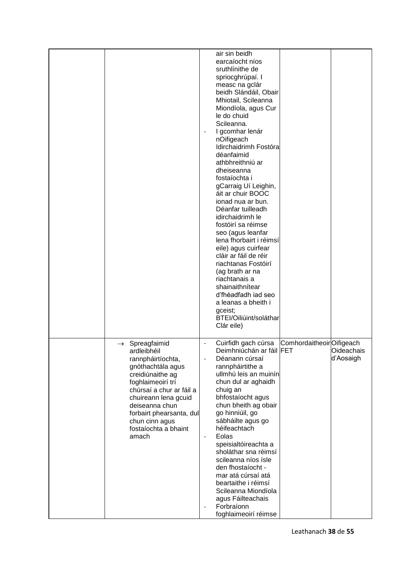|                                                                                                                                                                                                                                                                                   | air sin beidh<br>earcaíocht níos<br>sruthlinithe de<br>spriocghrúpaí. I<br>measc na gclár<br>beidh Slándáil, Obair<br>Mhiotail, Scileanna<br>Miondíola, agus Cur<br>le do chuid<br>Scileanna.<br>I gcomhar lenár<br>nOifigeach<br>Idirchaidrimh Fostóra<br>déanfaimid<br>athbhreithniú ar<br>dheiseanna<br>fostaíochta i<br>gCarraig Uí Leighin,<br>áit ar chuir BOOC<br>ionad nua ar bun.<br>Déanfar tuilleadh<br>idirchaidrimh le<br>fostóirí sa réimse<br>seo (agus leanfar<br>lena fhorbairt i réimsí<br>eile) agus cuirfear<br>cláir ar fáil de réir<br>riachtanas Fostóirí<br>(ag brath ar na<br>riachtanais a<br>shainaithnítear<br>d'fhéadfadh iad seo<br>a leanas a bheith i<br>gceist;<br>BTEI/Oiliúint/soláthar<br>Clár eile) |                           |                         |
|-----------------------------------------------------------------------------------------------------------------------------------------------------------------------------------------------------------------------------------------------------------------------------------|------------------------------------------------------------------------------------------------------------------------------------------------------------------------------------------------------------------------------------------------------------------------------------------------------------------------------------------------------------------------------------------------------------------------------------------------------------------------------------------------------------------------------------------------------------------------------------------------------------------------------------------------------------------------------------------------------------------------------------------|---------------------------|-------------------------|
| $\rightarrow$ Spreagfaimid<br>ardleibhéil<br>rannpháirtíochta,<br>gnóthachtála agus<br>creidiúnaithe ag<br>foghlaimeoirí trí<br>chúrsaí a chur ar fáil a<br>chuireann lena gcuid<br>deiseanna chun<br>forbairt phearsanta, dul<br>chun cinn agus<br>fostaíochta a bhaint<br>amach | Cuirfidh gach cúrsa<br>Deimhniúchán ar fáil FET<br>Déanann cúrsaí<br>rannpháirtithe a<br>ullmhú leis an muinín<br>chun dul ar aghaidh<br>chuig an<br>bhfostaíocht agus<br>chun bheith ag obair<br>go hinniúil, go<br>sábháilte agus go<br>héifeachtach<br>Eolas<br>$\overline{\phantom{a}}$<br>speisialtóireachta a<br>sholáthar sna réimsí<br>scileanna níos ísle<br>den fhostaíocht -<br>mar atá cúrsaí atá<br>beartaithe i réimsí<br>Scileanna Miondíola<br>agus Fáilteachais<br>Forbraíonn<br>foghlaimeoirí réimse                                                                                                                                                                                                                   | Comhordaitheoir Oifigeach | Oideachais<br>d'Aosaigh |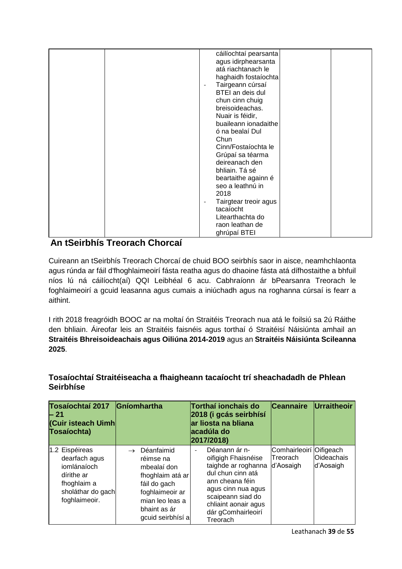| cáilíochtaí pearsanta<br>agus idirphearsanta<br>atá riachtanach le |
|--------------------------------------------------------------------|
|                                                                    |
|                                                                    |
|                                                                    |
| haghaidh fostaíochta                                               |
| Tairgeann cúrsaí<br>$\overline{\phantom{a}}$                       |
| BTEI an deis dul                                                   |
| chun cinn chuig                                                    |
| breisoideachas.                                                    |
| Nuair is féidir,                                                   |
| buaileann ionadaithe                                               |
| ó na bealaí Dul                                                    |
| Chun                                                               |
| Cinn/Fostaíochta le                                                |
| Grúpaí sa téarma                                                   |
| deireanach den                                                     |
| bhliain. Tá sé                                                     |
| beartaithe againn é                                                |
| seo a leathnú in                                                   |
| 2018                                                               |
| Tairgtear treoir agus<br>$\overline{\phantom{a}}$                  |
| tacaíocht                                                          |
| Litearthachta do                                                   |
| raon leathan de                                                    |
| ghrúpaí BTEI                                                       |

## **An tSeirbhís Treorach Chorcaí**

Cuireann an tSeirbhís Treorach Chorcaí de chuid BOO seirbhís saor in aisce, neamhchlaonta agus rúnda ar fáil d'fhoghlaimeoirí fásta reatha agus do dhaoine fásta atá dífhostaithe a bhfuil níos lú ná cáilíocht(aí) QQI Leibhéal 6 acu. Cabhraíonn ár bPearsanra Treorach le foghlaimeoirí a gcuid leasanna agus cumais a iniúchadh agus na roghanna cúrsaí is fearr a aithint.

I rith 2018 freagróidh BOOC ar na moltaí ón Straitéis Treorach nua atá le foilsiú sa 2ú Ráithe den bhliain. Áireofar leis an Straitéis faisnéis agus torthaí ó Straitéisí Náisiúnta amhail an **Straitéis Bhreisoideachais agus Oiliúna 2014-2019** agus an **Straitéis Náisiúnta Scileanna 2025**.

| <b>Tosaíochtaí 2017</b><br>- 21<br>(Cuir isteach Uimh<br>Tosaíochta)                                              | Gníomhartha                                                                                                                                                            | Torthaí ionchais do<br>2018 (i gcás seirbhísí<br>lar liosta na bliana<br>acadúla do<br>2017/2018)                                                                                                                                    | <b>Ceannaire</b>                                  | Urraitheoir             |
|-------------------------------------------------------------------------------------------------------------------|------------------------------------------------------------------------------------------------------------------------------------------------------------------------|--------------------------------------------------------------------------------------------------------------------------------------------------------------------------------------------------------------------------------------|---------------------------------------------------|-------------------------|
| 1.2 Eispéireas<br>dearfach agus<br>iomlánaíoch<br>dírithe ar<br>fhoghlaim a<br>sholáthar do gach<br>foghlaimeoir. | Déanfaimid<br>$\rightarrow$<br>réimse na<br>mbealaí don<br>fhoghlaim atá ar<br>fáil do gach<br>foghlaimeoir ar<br>mian leo leas a<br>bhaint as ár<br>gcuid seirbhísí a | Déanann ár n-<br>$\overline{\phantom{0}}$<br>oifigigh Fhaisnéise<br>taighde ar roghanna<br>dul chun cinn atá<br>ann cheana féin<br>agus cinn nua agus<br>scaipeann siad do<br>chliaint aonair agus<br>dár gComhairleoirí<br>Treorach | Comhairleoirí Oifigeach<br>lTreorach<br>d'Aosaigh | Oideachais<br>d'Aosaigh |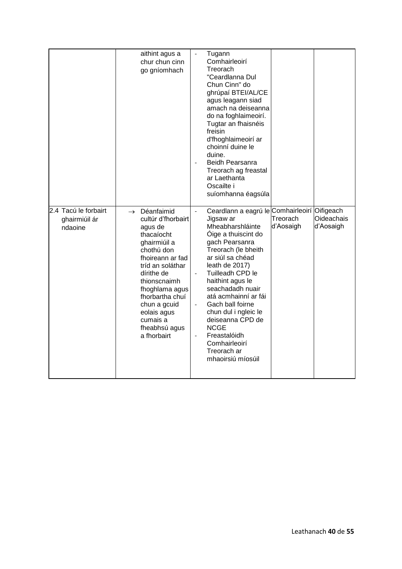|                                                  | aithint agus a<br>chur chun cinn<br>go gníomhach                                                                                                                                                                                                                                               | Tugann<br>Comhairleoirí<br>Treorach<br>"Ceardlanna Dul<br>Chun Cinn" do<br>ghrúpaí BTEI/AL/CE<br>agus leagann siad<br>amach na deiseanna<br>do na foghlaimeoirí.<br>Tugtar an fhaisnéis<br>freisin<br>d'fhoghlaimeoirí ar<br>choinní duine le<br>duine.<br>Beidh Pearsanra<br>Treorach ag freastal<br>ar Laethanta<br>Oscailte i<br>suíomhanna éagsúla                                                                                                         |                       |                                             |
|--------------------------------------------------|------------------------------------------------------------------------------------------------------------------------------------------------------------------------------------------------------------------------------------------------------------------------------------------------|----------------------------------------------------------------------------------------------------------------------------------------------------------------------------------------------------------------------------------------------------------------------------------------------------------------------------------------------------------------------------------------------------------------------------------------------------------------|-----------------------|---------------------------------------------|
| 2.4 Tacú le forbairt<br>ghairmiúil ár<br>ndaoine | Déanfaimid<br>$\rightarrow$<br>cultúr d'fhorbairt<br>agus de<br>thacaíocht<br>ghairmiúil a<br>chothú don<br>fhoireann ar fad<br>tríd an soláthar<br>dírithe de<br>thionscnaimh<br>fhoghlama agus<br>fhorbartha chuí<br>chun a gcuid<br>eolais agus<br>cumais a<br>fheabhsú agus<br>a fhorbairt | Ceardlann a eagrú le Comhairleoirí<br>$\frac{1}{2}$<br>Jigsaw ar<br>Mheabharshláinte<br>Óige a thuiscint do<br>gach Pearsanra<br>Treorach (le bheith<br>ar siúl sa chéad<br>leath de 2017)<br>Tuilleadh CPD le<br>haithint agus le<br>seachadadh nuair<br>atá acmhainní ar fái<br>Gach ball foirne<br>chun dul i ngleic le<br>deiseanna CPD de<br><b>NCGE</b><br>Freastalóidh<br>$\overline{\phantom{a}}$<br>Comhairleoirí<br>Treorach ar<br>mhaoirsiú míosúil | Treorach<br>d'Aosaigh | Oifigeach<br><b>Oideachais</b><br>d'Aosaigh |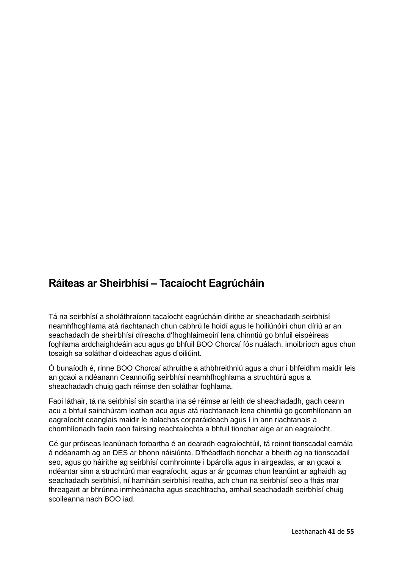## **Ráiteas ar Sheirbhísí – Tacaíocht Eagrúcháin**

Tá na seirbhísí a sholáthraíonn tacaíocht eagrúcháin dírithe ar sheachadadh seirbhísí neamhfhoghlama atá riachtanach chun cabhrú le hoidí agus le hoiliúnóirí chun díriú ar an seachadadh de sheirbhísí díreacha d'fhoghlaimeoirí lena chinntiú go bhfuil eispéireas foghlama ardchaighdeáin acu agus go bhfuil BOO Chorcaí fós nuálach, imoibríoch agus chun tosaigh sa soláthar d'oideachas agus d'oiliúint.

Ó bunaíodh é, rinne BOO Chorcaí athruithe a athbhreithniú agus a chur i bhfeidhm maidir leis an gcaoi a ndéanann Ceannoifig seirbhísí neamhfhoghlama a struchtúrú agus a sheachadadh chuig gach réimse den soláthar foghlama.

Faoi láthair, tá na seirbhísí sin scartha ina sé réimse ar leith de sheachadadh, gach ceann acu a bhfuil sainchúram leathan acu agus atá riachtanach lena chinntiú go gcomhlíonann an eagraíocht ceanglais maidir le rialachas corparáideach agus í in ann riachtanais a chomhlíonadh faoin raon fairsing reachtaíochta a bhfuil tionchar aige ar an eagraíocht.

Cé gur próiseas leanúnach forbartha é an dearadh eagraíochtúil, tá roinnt tionscadal earnála á ndéanamh ag an DES ar bhonn náisiúnta. D'fhéadfadh tionchar a bheith ag na tionscadail seo, agus go háirithe ag seirbhísí comhroinnte i bpárolla agus in airgeadas, ar an gcaoi a ndéantar sinn a struchtúrú mar eagraíocht, agus ar ár gcumas chun leanúint ar aghaidh ag seachadadh seirbhísí, ní hamháin seirbhísí reatha, ach chun na seirbhísí seo a fhás mar fhreagairt ar bhrúnna inmheánacha agus seachtracha, amhail seachadadh seirbhísí chuig scoileanna nach BOO iad.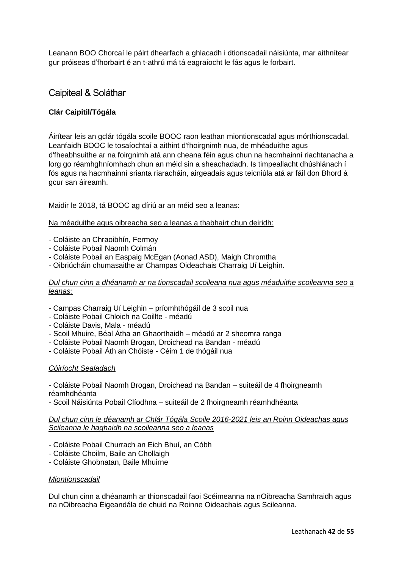Leanann BOO Chorcaí le páirt dhearfach a ghlacadh i dtionscadail náisiúnta, mar aithnítear gur próiseas d'fhorbairt é an t-athrú má tá eagraíocht le fás agus le forbairt.

## Caipiteal & Soláthar

#### **Clár Caipitil/Tógála**

Áirítear leis an gclár tógála scoile BOOC raon leathan miontionscadal agus mórthionscadal. Leanfaidh BOOC le tosaíochtaí a aithint d'fhoirgnimh nua, de mhéaduithe agus d'fheabhsuithe ar na foirgnimh atá ann cheana féin agus chun na hacmhainní riachtanacha a lorg go réamhghníomhach chun an méid sin a sheachadadh. Is timpeallacht dhúshlánach í fós agus na hacmhainní srianta riaracháin, airgeadais agus teicniúla atá ar fáil don Bhord á gcur san áireamh.

Maidir le 2018, tá BOOC ag díriú ar an méid seo a leanas:

#### Na méaduithe agus oibreacha seo a leanas a thabhairt chun deiridh:

- Coláiste an Chraoibhín, Fermoy
- Coláiste Pobail Naomh Colmán
- Coláiste Pobail an Easpaig McEgan (Aonad ASD), Maigh Chromtha
- Oibriúcháin chumasaithe ar Champas Oideachais Charraig Uí Leighin.

#### *Dul chun cinn a dhéanamh ar na tionscadail scoileana nua agus méaduithe scoileanna seo a leanas:*

- Campas Charraig Uí Leighin príomhthógáil de 3 scoil nua
- Coláiste Pobail Chloich na Coillte méadú
- Coláiste Davis, Mala méadú
- Scoil Mhuire, Béal Átha an Ghaorthaidh méadú ar 2 sheomra ranga
- Coláiste Pobail Naomh Brogan, Droichead na Bandan méadú
- Coláiste Pobail Áth an Chóiste Céim 1 de thógáil nua

#### *Cóiríocht Sealadach*

- Coláiste Pobail Naomh Brogan, Droichead na Bandan – suiteáil de 4 fhoirgneamh réamhdhéanta

- Scoil Náisiúnta Pobail Clíodhna – suiteáil de 2 fhoirgneamh réamhdhéanta

*Dul chun cinn le déanamh ar Chlár Tógála Scoile 2016-2021 leis an Roinn Oideachas agus Scileanna le haghaidh na scoileanna seo a leanas*

- Coláiste Pobail Churrach an Eich Bhuí, an Cóbh
- Coláiste Choilm, Baile an Chollaigh
- Coláiste Ghobnatan, Baile Mhuirne

#### *Miontionscadail*

Dul chun cinn a dhéanamh ar thionscadail faoi Scéimeanna na nOibreacha Samhraidh agus na nOibreacha Éigeandála de chuid na Roinne Oideachais agus Scileanna.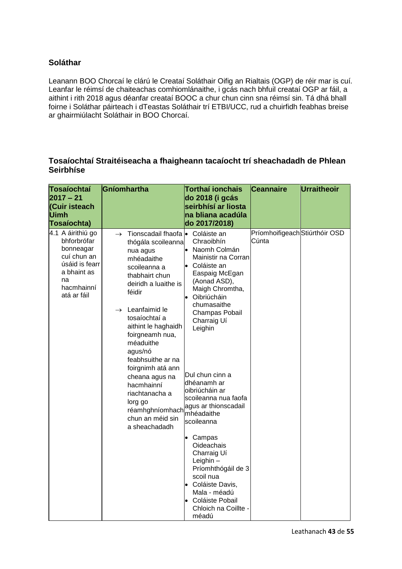## **Soláthar**

Leanann BOO Chorcaí le clárú le Creataí Soláthair Oifig an Rialtais (OGP) de réir mar is cuí. Leanfar le réimsí de chaiteachas comhiomlánaithe, i gcás nach bhfuil creataí OGP ar fáil, a aithint i rith 2018 agus déanfar creataí BOOC a chur chun cinn sna réimsí sin. Tá dhá bhall foirne i Soláthar páirteach i dTeastas Soláthair trí ETBI/UCC, rud a chuirfidh feabhas breise ar ghairmiúlacht Soláthair in BOO Chorcaí.

| Tosaíochtaí<br>$2017 - 21$<br>(Cuir isteach<br>Uimh<br>Tosaíochta)                                                               | Gníomhartha                                                                                                                                                                                                                                                                                                                                                                                                                                                            | <b>Torthaí ionchais</b><br>do 2018 (i gcás<br>seirbhísí ar liosta<br>na bliana acadúla<br>do 2017/2018)                                                                                                                                                                                                                                                                                                                                                                                                          | <b>Ceannaire</b>                        | Urraitheoir |
|----------------------------------------------------------------------------------------------------------------------------------|------------------------------------------------------------------------------------------------------------------------------------------------------------------------------------------------------------------------------------------------------------------------------------------------------------------------------------------------------------------------------------------------------------------------------------------------------------------------|------------------------------------------------------------------------------------------------------------------------------------------------------------------------------------------------------------------------------------------------------------------------------------------------------------------------------------------------------------------------------------------------------------------------------------------------------------------------------------------------------------------|-----------------------------------------|-------------|
| 4.1 A áirithiú go<br>bhforbrófar<br>bonneagar<br>cuí chun an<br>úsáid is fearr<br>a bhaint as<br>na<br>hacmhainní<br>atá ar fáil | $\rightarrow$ Tionscadail fhaofa $\bullet$ Coláiste an<br>thógála scoileanna<br>nua agus<br>mhéadaithe<br>scoileanna a<br>thabhairt chun<br>deiridh a luaithe is<br>féidir<br>$\rightarrow$ Leanfaimid le<br>tosaíochtaí a<br>aithint le haghaidh<br>foirgneamh nua,<br>méaduithe<br>agus/nó<br>feabhsuithe ar na<br>foirgnimh atá ann<br>cheana agus na<br>hacmhainní<br>riachtanacha a<br>lorg go<br>réamhghníomhach mhéadaithe<br>chun an méid sin<br>a sheachadadh | Chraoibhín<br>• Naomh Colmán<br>Mainistir na Corran<br>• Coláiste an<br>Easpaig McEgan<br>(Aonad ASD),<br>Maigh Chromtha,<br>· Oibriúcháin<br>chumasaithe<br>Champas Pobail<br>Charraig Uí<br>Leighin<br>Dul chun cinn a<br>dhéanamh ar<br>oibriúcháin ar<br>scoileanna nua faofa<br>agus ar thionscadail<br>scoileanna<br>Campas<br><b>Oideachais</b><br>Charraig Uí<br>Leighin -<br>Príomhthógáil de 3<br>scoil nua<br>• Coláiste Davis,<br>Mala - méadú<br>• Coláiste Pobail<br>Chloich na Coillte -<br>méadú | Príomhoifigeach Stiúrthóir OSD<br>Cúnta |             |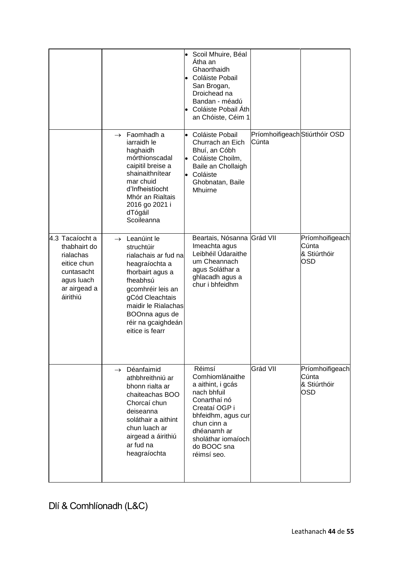|                                                                                                                     |                                                                                                                                                                                                                                             | · Scoil Mhuire, Béal<br>Atha an<br>Ghaorthaidh<br>Coláiste Pobail<br>San Brogan,<br>Droichead na<br>Bandan - méadú<br>Coláiste Pobail Áth<br>an Chóiste, Céim 1                                        |                                         |                                                        |
|---------------------------------------------------------------------------------------------------------------------|---------------------------------------------------------------------------------------------------------------------------------------------------------------------------------------------------------------------------------------------|--------------------------------------------------------------------------------------------------------------------------------------------------------------------------------------------------------|-----------------------------------------|--------------------------------------------------------|
|                                                                                                                     | $\rightarrow$ Faomhadh a<br>iarraidh le<br>haghaidh<br>mórthionscadal<br>caipitil breise a<br>shainaithnítear<br>mar chuid<br>d'Infheistíocht<br>Mhór an Rialtais<br>2016 go 2021 i<br>dTógáil<br>Scoileanna                                | • Coláiste Pobail<br>Churrach an Eich<br>Bhuí, an Cóbh<br>Coláiste Choilm,<br>$\bullet$<br>Baile an Chollaigh<br>Coláiste<br>$\bullet$<br>Ghobnatan, Baile<br>Mhuirne                                  | Príomhoifigeach Stiúrthóir OSD<br>Cúnta |                                                        |
| 4.3 Tacaíocht a<br>thabhairt do<br>rialachas<br>eitice chun<br>cuntasacht<br>agus luach<br>ar airgead a<br>áirithiú | $\rightarrow$ Leanúint le<br>struchtúir<br>rialachais ar fud na<br>heagraíochta a<br>fhorbairt agus a<br>fheabhsú<br>gcomhréir leis an<br>gCód Cleachtais<br>maidir le Rialachas<br>BOOnna agus de<br>réir na gcaighdeán<br>eitice is fearr | Beartais, Nósanna Grád VII<br>Imeachta agus<br>Leibhéil Údaraithe<br>um Cheannach<br>agus Soláthar a<br>ghlacadh agus a<br>chur i bhfeidhm                                                             |                                         | Príomhoifigeach<br>Cúnta<br>& Stiúrthóir<br><b>OSD</b> |
|                                                                                                                     | $\rightarrow$ Déanfaimid<br>athbhreithniú ar<br>bhonn rialta ar<br>chaiteachas BOO<br>Chorcaí chun<br>deiseanna<br>soláthair a aithint<br>chun luach ar<br>airgead a áirithiú<br>ar fud na<br>heagraíochta                                  | Réimsí<br>Comhiomlánaithe<br>a aithint, i gcás<br>nach bhfuil<br>Conarthaí nó<br>Creataí OGP i<br>bhfeidhm, agus cur<br>chun cinn a<br>dhéanamh ar<br>sholáthar iomaíoch<br>do BOOC sna<br>réimsí seo. | Grád VII                                | Príomhoifigeach<br>Cúnta<br>& Stiúrthóir<br><b>OSD</b> |

Dlí & Comhlíonadh (L&C)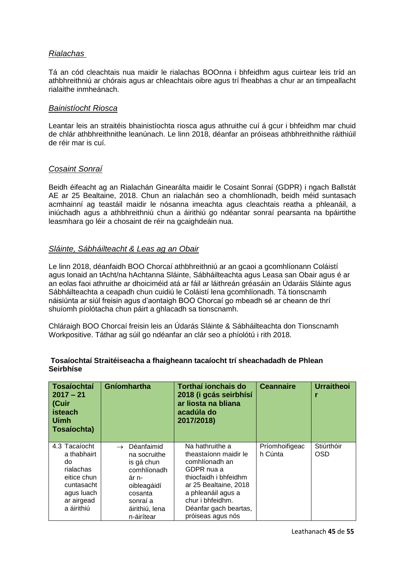### *Rialachas*

Tá an cód cleachtais nua maidir le rialachas BOOnna i bhfeidhm agus cuirtear leis tríd an athbhreithniú ar chórais agus ar chleachtais oibre agus trí fheabhas a chur ar an timpeallacht rialaithe inmheánach.

#### *Bainistíocht Riosca*

Leantar leis an straitéis bhainistíochta riosca agus athruithe cuí á gcur i bhfeidhm mar chuid de chlár athbhreithnithe leanúnach. Le linn 2018, déanfar an próiseas athbhreithnithe ráithiúil de réir mar is cuí.

#### *Cosaint Sonraí*

Beidh éifeacht ag an Rialachán Ginearálta maidir le Cosaint Sonraí (GDPR) i ngach Ballstát AE ar 25 Bealtaine, 2018. Chun an rialachán seo a chomhlíonadh, beidh méid suntasach acmhainní ag teastáil maidir le nósanna imeachta agus cleachtais reatha a phleanáil, a iniúchadh agus a athbhreithniú chun a áirithiú go ndéantar sonraí pearsanta na bpáirtithe leasmhara go léir a chosaint de réir na gcaighdeáin nua.

#### *Sláinte, Sábháilteacht & Leas ag an Obair*

Le linn 2018, déanfaidh BOO Chorcaí athbhreithniú ar an gcaoi a gcomhlíonann Coláistí agus Ionaid an tAcht/na hAchtanna Sláinte, Sábháilteachta agus Leasa san Obair agus é ar an eolas faoi athruithe ar dhoiciméid atá ar fáil ar láithreán gréasáin an Údaráis Sláinte agus Sábháilteachta a ceapadh chun cuidiú le Coláistí lena gcomhlíonadh. Tá tionscnamh náisiúnta ar siúl freisin agus d'aontaigh BOO Chorcaí go mbeadh sé ar cheann de thrí shuíomh píolótacha chun páirt a ghlacadh sa tionscnamh.

Chláraigh BOO Chorcaí freisin leis an Údarás Sláinte & Sábháilteachta don Tionscnamh Workpositive. Táthar ag súil go ndéanfar an clár seo a phíolótú i rith 2018.

| <b>Tosaíochtaí</b><br>$2017 - 21$<br>(Cuir<br>isteach<br><b>Uimh</b><br>Tosaíochta)                                    | Gníomhartha                                                                                                                                             | Torthaí ionchais do<br>2018 (i gcás seirbhísí<br>ar liosta na bliana<br>acadúla do<br>2017/2018)                                                                                                                   | <b>Ceannaire</b>          | <b>Urraitheoi</b>        |
|------------------------------------------------------------------------------------------------------------------------|---------------------------------------------------------------------------------------------------------------------------------------------------------|--------------------------------------------------------------------------------------------------------------------------------------------------------------------------------------------------------------------|---------------------------|--------------------------|
| 4.3 Tacaíocht<br>a thabhairt<br>do<br>rialachas<br>eitice chun<br>cuntasacht<br>agus luach<br>ar airgead<br>a áirithiú | Déanfaimid<br>$\rightarrow$<br>na socruithe<br>is gá chun<br>comhlíonadh<br>ár n-<br>oibleagáidí<br>cosanta<br>sonraí a<br>áirithiú, lena<br>n-áirítear | Na hathruithe a<br>theastaíonn maidir le<br>comhlíonadh an<br>GDPR nua a<br>thiocfaidh i bhfeidhm<br>ar 25 Bealtaine, 2018<br>a phleanáil agus a<br>chur i bhfeidhm.<br>Déanfar gach beartas,<br>próiseas agus nós | Príomhoifigeac<br>h Cúnta | Stiúrthóir<br><b>OSD</b> |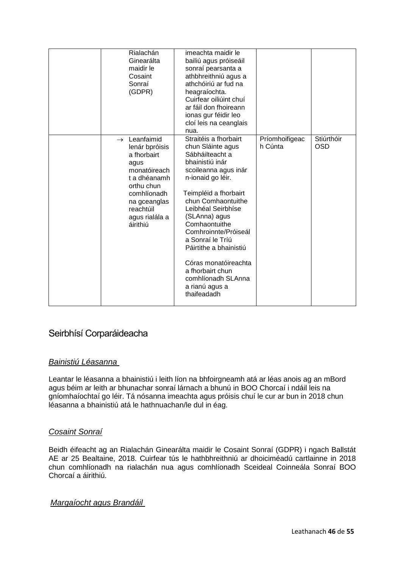| Rialachán<br>Ginearálta<br>maidir le<br>Cosaint<br>Sonraí<br>(GDPR)                                                                                                                       | imeachta maidir le<br>bailiú agus próiseáil<br>sonraí pearsanta a<br>athbhreithniú agus a<br>athchóiriú ar fud na<br>heagraíochta.<br>Cuirfear oiliúint chuí<br>ar fáil don fhoireann<br>ionas gur féidir leo<br>cloí leis na ceanglais<br>nua.                                                                                                                                                               |                           |                          |
|-------------------------------------------------------------------------------------------------------------------------------------------------------------------------------------------|---------------------------------------------------------------------------------------------------------------------------------------------------------------------------------------------------------------------------------------------------------------------------------------------------------------------------------------------------------------------------------------------------------------|---------------------------|--------------------------|
| $\rightarrow$ Leanfaimid<br>lenár bpróisis<br>a fhorbairt<br>agus<br>monatóireach<br>t a dhéanamh<br>orthu chun<br>comhlíonadh<br>na gceanglas<br>reachtúil<br>agus rialála a<br>áirithiú | Straitéis a fhorbairt<br>chun Sláinte agus<br>Sábháilteacht a<br>bhainistiú inár<br>scoileanna agus inár<br>n-ionaid go léir.<br>Teimpléid a fhorbairt<br>chun Comhaontuithe<br>Leibhéal Seirbhíse<br>(SLAnna) agus<br>Comhaontuithe<br>Comhroinnte/Próiseál<br>a Sonraí le Tríú<br>Páirtithe a bhainistiú<br>Córas monatóireachta<br>a fhorbairt chun<br>comhlíonadh SLAnna<br>a rianú agus a<br>thaifeadadh | Príomhoifigeac<br>h Cúnta | Stiúrthóir<br><b>OSD</b> |

## Seirbhísí Corparáideacha

## *Bainistiú Léasanna*

Leantar le léasanna a bhainistiú i leith líon na bhfoirgneamh atá ar léas anois ag an mBord agus béim ar leith ar bhunachar sonraí lárnach a bhunú in BOO Chorcaí i ndáil leis na gníomhaíochtaí go léir. Tá nósanna imeachta agus próisis chuí le cur ar bun in 2018 chun léasanna a bhainistiú atá le hathnuachan/le dul in éag.

## *Cosaint Sonraí*

Beidh éifeacht ag an Rialachán Ginearálta maidir le Cosaint Sonraí (GDPR) i ngach Ballstát AE ar 25 Bealtaine, 2018. Cuirfear tús le hathbhreithniú ar dhoiciméadú cartlainne in 2018 chun comhlíonadh na rialachán nua agus comhlíonadh Sceideal Coinneála Sonraí BOO Chorcaí a áirithiú.

## *Margaíocht agus Brandáil*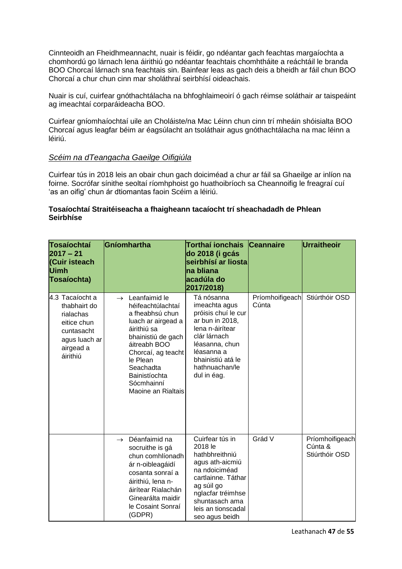Cinnteoidh an Fheidhmeannacht, nuair is féidir, go ndéantar gach feachtas margaíochta a chomhordú go lárnach lena áirithiú go ndéantar feachtais chomhtháite a reáchtáil le branda BOO Chorcaí lárnach sna feachtais sin. Bainfear leas as gach deis a bheidh ar fáil chun BOO Chorcaí a chur chun cinn mar sholáthraí seirbhísí oideachais.

Nuair is cuí, cuirfear gnóthachtálacha na bhfoghlaimeoirí ó gach réimse soláthair ar taispeáint ag imeachtaí corparáideacha BOO.

Cuirfear gníomhaíochtaí uile an Choláiste/na Mac Léinn chun cinn trí mheáin shóisialta BOO Chorcaí agus leagfar béim ar éagsúlacht an tsoláthair agus gnóthachtálacha na mac léinn a léiriú.

#### *Scéim na dTeangacha Gaeilge Oifigiúla*

Cuirfear tús in 2018 leis an obair chun gach doiciméad a chur ar fáil sa Ghaeilge ar inlíon na foirne. Socrófar sínithe seoltaí ríomhphoist go huathoibríoch sa Cheannoifig le freagraí cuí 'as an oifig' chun ár dtiomantas faoin Scéim a léiriú.

| Tosaíochtaí<br>$2017 - 21$<br>(Cuir isteach<br><b>Uimh</b><br>Tosaíochta)                                           | Gníomhartha                                                                                                                                                                                                                                        | Torthaí ionchais<br>do 2018 (i gcás<br>seirbhísí ar liosta<br><b>Ina bliana</b><br>lacadúla do<br>2017/2018)                                                                                        | <b>Ceannaire</b>         | Urraitheoir                                  |
|---------------------------------------------------------------------------------------------------------------------|----------------------------------------------------------------------------------------------------------------------------------------------------------------------------------------------------------------------------------------------------|-----------------------------------------------------------------------------------------------------------------------------------------------------------------------------------------------------|--------------------------|----------------------------------------------|
| 4.3 Tacaíocht a<br>thabhairt do<br>rialachas<br>eitice chun<br>cuntasacht<br>agus luach ar<br>airgead a<br>áirithiú | $\rightarrow$ Leanfaimid le<br>héifeachtúlachtaí<br>a fheabhsú chun<br>luach ar airgead a<br>áirithiú sa<br>bhainistiú de gach<br>áitreabh BOO<br>Chorcaí, ag teacht<br>le Plean<br>Seachadta<br>Bainistíochta<br>Sócmhainní<br>Maoine an Rialtais | Tá nósanna<br>imeachta agus<br>próisis chuí le cur<br>ar bun in 2018,<br>lena n-áirítear<br>clár lárnach<br>léasanna, chun<br>léasanna a<br>bhainistiú atá le<br>hathnuachan/le<br>dul in éag.      | Príomhoifigeach<br>Cúnta | Stiúrthóir OSD                               |
|                                                                                                                     | $\rightarrow$ Déanfaimid na<br>socruithe is gá<br>chun comhlíonadh<br>ár n-oibleagáidí<br>cosanta sonraí a<br>áirithiú, lena n-<br>áirítear Rialachán<br>Ginearálta maidir<br>le Cosaint Sonraí<br>(GDPR)                                          | Cuirfear tús in<br>2018 le<br>hathbhreithniú<br>agus ath-aicmiú<br>na ndoiciméad<br>cartlainne. Táthar<br>ag súil go<br>nglacfar tréimhse<br>shuntasach ama<br>leis an tionscadal<br>seo agus beidh | Grád V                   | Príomhoifigeach<br>Cúnta &<br>Stiúrthóir OSD |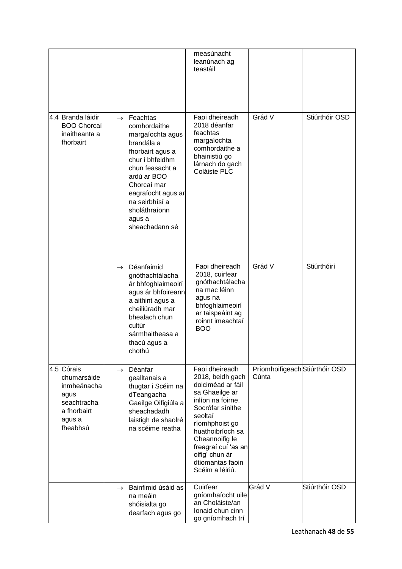|                                                                                                      |                                                                                                                                                                                                                                                       | measúnacht<br>leanúnach ag<br>teastáil                                                                                                                                                                                                                                |                                         |                |
|------------------------------------------------------------------------------------------------------|-------------------------------------------------------------------------------------------------------------------------------------------------------------------------------------------------------------------------------------------------------|-----------------------------------------------------------------------------------------------------------------------------------------------------------------------------------------------------------------------------------------------------------------------|-----------------------------------------|----------------|
| 4.4 Branda láidir<br><b>BOO Chorcaí</b><br>inaitheanta a<br>fhorbairt                                | $\rightarrow$ Feachtas<br>comhordaithe<br>margaíochta agus<br>brandála a<br>fhorbairt agus a<br>chur i bhfeidhm<br>chun feasacht a<br>ardú ar BOO<br>Chorcaí mar<br>eagraíocht agus ar<br>na seirbhísí a<br>sholáthraíonn<br>agus a<br>sheachadann sé | Faoi dheireadh<br>2018 déanfar<br>feachtas<br>margaíochta<br>comhordaithe a<br>bhainistiú go<br>lárnach do gach<br>Coláiste PLC                                                                                                                                       | Grád V                                  | Stiúrthóir OSD |
|                                                                                                      | $\rightarrow$ Déanfaimid<br>gnóthachtálacha<br>ár bhfoghlaimeoirí<br>agus ár bhfoireann<br>a aithint agus a<br>cheiliúradh mar<br>bhealach chun<br>cultúr<br>sármhaitheasa a<br>thacú agus a<br>chothú                                                | Faoi dheireadh<br>2018, cuirfear<br>gnóthachtálacha<br>na mac léinn<br>agus na<br>bhfoghlaimeoirí<br>ar taispeáint ag<br>roinnt imeachtaí<br><b>BOO</b>                                                                                                               | Grád V                                  | Stiúrthóirí    |
| 4.5 Córais<br>chumarsáide<br>inmheánacha<br>agus<br>seachtracha<br>a fhorbairt<br>agus a<br>fheabhsú | Déanfar<br>$\rightarrow$<br>gealltanais a<br>thugtar i Scéim na<br>dTeangacha<br>Gaeilge Oifigiúla a<br>sheachadadh<br>laistigh de shaolré<br>na scéime reatha                                                                                        | Faoi dheireadh<br>2018, beidh gach<br>doiciméad ar fáil<br>sa Ghaeilge ar<br>inlíon na foirne.<br>Socrófar sínithe<br>seoltaí<br>ríomhphoist go<br>huathoibríoch sa<br>Cheannoifig le<br>freagraí cuí 'as an<br>oifig' chun ár<br>dtiomantas faoin<br>Scéim a léiriú. | Príomhoifigeach Stiúrthóir OSD<br>Cúnta |                |
|                                                                                                      | Bainfimid úsáid as<br>$\rightarrow$<br>na meáin<br>shóisialta go<br>dearfach agus go                                                                                                                                                                  | Cuirfear<br>gníomhaíocht uile<br>an Choláiste/an<br>lonaid chun cinn<br>go gníomhach trí                                                                                                                                                                              | Grád V                                  | Stiúrthóir OSD |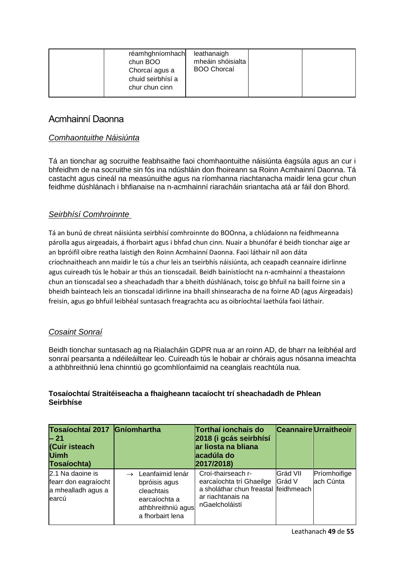| réamhghníomhach<br>chun BOO<br>Chorcaí agus a<br>chuid seirbhísí a<br>chur chun cinn | leathanaigh<br>mheáin shóisialta<br><b>BOO Chorcaí</b> |  |  |
|--------------------------------------------------------------------------------------|--------------------------------------------------------|--|--|
|--------------------------------------------------------------------------------------|--------------------------------------------------------|--|--|

## Acmhainní Daonna

## *Comhaontuithe Náisiúnta*

Tá an tionchar ag socruithe feabhsaithe faoi chomhaontuithe náisiúnta éagsúla agus an cur i bhfeidhm de na socruithe sin fós ina ndúshláin don fhoireann sa Roinn Acmhainní Daonna. Tá castacht agus cineál na measúnuithe agus na ríomhanna riachtanacha maidir lena gcur chun feidhme dúshlánach i bhfianaise na n-acmhainní riaracháin sriantacha atá ar fáil don Bhord.

## *Seirbhísí Comhroinnte*

Tá an bunú de chreat náisiúnta seirbhísí comhroinnte do BOOnna, a chlúdaíonn na feidhmeanna párolla agus airgeadais, á fhorbairt agus i bhfad chun cinn. Nuair a bhunófar é beidh tionchar aige ar an bpróifíl oibre reatha laistigh den Roinn Acmhainní Daonna. Faoi láthair níl aon dáta críochnaitheach ann maidir le tús a chur leis an tseirbhís náisiúnta, ach ceapadh ceannaire idirlinne agus cuireadh tús le hobair ar thús an tionscadail. Beidh bainistíocht na n-acmhainní a theastaíonn chun an tionscadal seo a sheachadadh thar a bheith dúshlánach, toisc go bhfuil na baill foirne sin a bheidh bainteach leis an tionscadal idirlinne ina bhaill shinsearacha de na foirne AD (agus Airgeadais) freisin, agus go bhfuil leibhéal suntasach freagrachta acu as oibríochtaí laethúla faoi láthair.

## *Cosaint Sonraí*

Beidh tionchar suntasach ag na Rialacháin GDPR nua ar an roinn AD, de bharr na leibhéal ard sonraí pearsanta a ndéileáiltear leo. Cuireadh tús le hobair ar chórais agus nósanna imeachta a athbhreithniú lena chinntiú go gcomhlíonfaimid na ceanglais reachtúla nua.

| Tosaíochtaí 2017 Gníomhartha<br>$-21$<br>(Cuir isteach<br><b>Uimh</b><br>Tosaíochta) |                                                                                                            | Torthaí ionchais do<br>2018 (i gcás seirbhísí<br>ar liosta na bliana<br>acadúla do<br>2017/2018)                                     |          | <b>Ceannaire</b> Urraitheoir |
|--------------------------------------------------------------------------------------|------------------------------------------------------------------------------------------------------------|--------------------------------------------------------------------------------------------------------------------------------------|----------|------------------------------|
| 2.1 Na daoine is<br>fearr don eagraíocht<br>a mhealladh agus a<br>learcú             | Leanfaimid lenár<br>bpróisis agus<br>cleachtais<br>earcaíochta a<br>athbhreithniú agus<br>a fhorbairt lena | Croí-thairseach r-<br>earcaíochta trí Ghaeilge Grád V<br>a sholáthar chun freastal feidhmeach<br>ar riachtanais na<br>nGaelcholáistí | Grád VII | Príomhoifige<br>ach Cúnta    |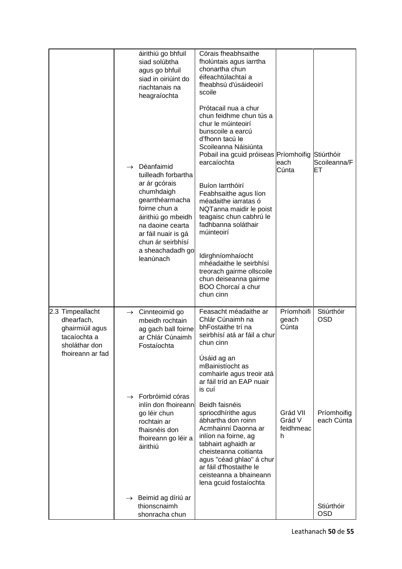|                                                                                                        | $\rightarrow$ | áirithiú go bhfuil<br>siad solúbtha<br>agus go bhfuil<br>siad in oiriúint do<br>riachtanais na<br>heagraíochta<br>Déanfaimid<br>tuilleadh forbartha<br>ar ár gcórais<br>chumhdaigh<br>gearrthéarmacha<br>foirne chun a<br>áirithiú go mbeidh<br>na daoine cearta<br>ar fáil nuair is gá<br>chun ár seirbhísí<br>a sheachadadh go<br>leanúnach | Córais fheabhsaithe<br>fholúntais agus iarrtha<br>chonartha chun<br>éifeachtúlachtaí a<br>fheabhsú d'úsáideoirí<br>scoile<br>Prótacail nua a chur<br>chun feidhme chun tús a<br>chur le múinteoirí<br>bunscoile a earcú<br>d'fhonn tacú le<br>Scoileanna Náisiúnta<br>Pobail ina gcuid próiseas Príomhoifig<br>earcaíochta<br>Buíon larrthóirí<br>Feabhsaithe agus líon<br>méadaithe iarratas ó<br>NQTanna maidir le poist<br>teagaisc chun cabhrú le<br>fadhbanna soláthair<br>múinteoirí<br>Idirghníomhaíocht<br>mhéadaithe le seirbhísí<br>treorach gairme ollscoile<br>chun deiseanna gairme<br>BOO Chorcaí a chur<br>chun cinn | each<br>Cúnta                                                        | Stiúrthóir<br>Scoileanna/F<br>EТ                      |
|--------------------------------------------------------------------------------------------------------|---------------|-----------------------------------------------------------------------------------------------------------------------------------------------------------------------------------------------------------------------------------------------------------------------------------------------------------------------------------------------|-------------------------------------------------------------------------------------------------------------------------------------------------------------------------------------------------------------------------------------------------------------------------------------------------------------------------------------------------------------------------------------------------------------------------------------------------------------------------------------------------------------------------------------------------------------------------------------------------------------------------------------|----------------------------------------------------------------------|-------------------------------------------------------|
| 2.3 Timpeallacht<br>dhearfach,<br>ghairmiúil agus<br>tacaíochta a<br>sholáthar don<br>fhoireann ar fad | $\rightarrow$ | Cinnteoimid go<br>mbeidh rochtain<br>ag gach ball foirne<br>ar Chlár Cúnaimh<br>Fostaíochta<br>$\rightarrow$ Forbróimid córas<br>inlín don fhoireann<br>go léir chun<br>rochtain ar<br>fhaisnéis don<br>fhoireann go léir a<br>áirithiú<br>$\rightarrow$ Beimid ag díriú ar                                                                   | Feasacht méadaithe ar<br>Chlár Cúnaimh na<br>bhFostaithe trí na<br>seirbhísí atá ar fáil a chur<br>chun cinn<br>Úsáid ag an<br>mBainistíocht as<br>comhairle agus treoir atá<br>ar fáil tríd an EAP nuair<br>is cuí<br>Beidh faisnéis<br>spriocdhírithe agus<br>ábhartha don roinn<br>Acmhainní Daonna ar<br>inlíon na foirne, ag<br>tabhairt aghaidh ar<br>cheisteanna coitianta<br>agus "céad ghlao" á chur<br>ar fáil d'fhostaithe le<br>ceisteanna a bhaineann<br>lena gcuid fostaíochta                                                                                                                                        | Príomhoifi<br>geach<br>Cúnta<br>Grád VII<br>Grád V<br>feidhmeac<br>h | Stiúrthóir<br><b>OSD</b><br>Príomhoifig<br>each Cúnta |
|                                                                                                        |               | thionscnaimh<br>shonracha chun                                                                                                                                                                                                                                                                                                                |                                                                                                                                                                                                                                                                                                                                                                                                                                                                                                                                                                                                                                     |                                                                      | Stiúrthóir<br><b>OSD</b>                              |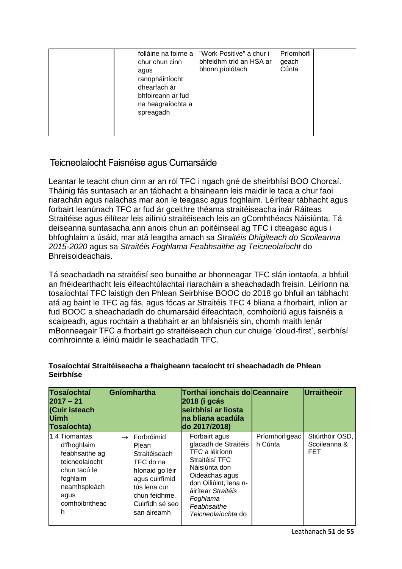| folláine na foirne a<br>chur chun cinn<br>agus<br>rannpháirtíocht<br>dhearfach ár<br>bhfoireann ar fud<br>na heagraíochta a<br>spreagadh | "Work Positive" a chur i<br>bhfeidhm tríd an HSA ar<br>bhonn píolótach | Príomhoifi<br>geach<br>Cúnta |  |
|------------------------------------------------------------------------------------------------------------------------------------------|------------------------------------------------------------------------|------------------------------|--|
|------------------------------------------------------------------------------------------------------------------------------------------|------------------------------------------------------------------------|------------------------------|--|

## Teicneolaíocht Faisnéise agus Cumarsáide

Leantar le teacht chun cinn ar an ról TFC i ngach gné de sheirbhísí BOO Chorcaí. Tháinig fás suntasach ar an tábhacht a bhaineann leis maidir le taca a chur faoi riarachán agus rialachas mar aon le teagasc agus foghlaim. Léirítear tábhacht agus forbairt leanúnach TFC ar fud ár gceithre théama straitéiseacha inár Ráiteas Straitéise agus éilítear leis ailíniú straitéiseach leis an gComhthéacs Náisiúnta. Tá deiseanna suntasacha ann anois chun an poitéinseal ag TFC i dteagasc agus i bhfoghlaim a úsáid, mar atá leagtha amach sa *Straitéis Dhigiteach do Scoileanna 2015-2020* agus sa *Straitéis Foghlama Feabhsaithe ag Teicneolaíocht* do Bhreisoideachais.

Tá seachadadh na straitéisí seo bunaithe ar bhonneagar TFC slán iontaofa, a bhfuil an fhéidearthacht leis éifeachtúlachtaí riaracháin a sheachadadh freisin. Léiríonn na tosaíochtaí TFC laistigh den Phlean Seirbhíse BOOC do 2018 go bhfuil an tábhacht atá ag baint le TFC ag fás, agus fócas ar Straitéis TFC 4 bliana a fhorbairt, inlíon ar fud BOOC a sheachadadh do chumarsáid éifeachtach, comhoibriú agus faisnéis a scaipeadh, agus rochtain a thabhairt ar an bhfaisnéis sin, chomh maith lenár mBonneagair TFC a fhorbairt go straitéiseach chun cur chuige 'cloud-first', seirbhísí comhroinnte a léiriú maidir le seachadadh TFC.

| Tosaíochtaí<br>$2017 - 21$<br>(Cuir isteach<br><b>Uimh</b><br>Tosaíochta)                                                                    | Gníomhartha                                                                                                                                                             | Torthaí ionchais do Ceannaire<br>2018 (i gcás<br>seirbhísí ar liosta<br>na bliana acadúla<br>do 2017/2018)                                                                                                   |                           | Urraitheoir                                   |
|----------------------------------------------------------------------------------------------------------------------------------------------|-------------------------------------------------------------------------------------------------------------------------------------------------------------------------|--------------------------------------------------------------------------------------------------------------------------------------------------------------------------------------------------------------|---------------------------|-----------------------------------------------|
| 1.4 Tiomantas<br>d'fhoghlaim<br>feabhsaithe ag<br>teicneolaíocht<br>chun tacú le<br>foghlaim<br>neamhspleách<br>agus<br>comhoibritheac<br>h. | $\rightarrow$ Forbróimid<br>Plean<br>Straitéiseach<br>TFC do na<br>hlonaid go léir<br>agus cuirfimid<br>tús lena cur<br>chun feidhme.<br>Cuirfidh sé seo<br>san áireamh | Forbairt agus<br>glacadh de Straitéis<br>TFC a léiríonn<br>Straitéisí TFC<br>Náisiúnta don<br>Oideachas agus<br>don Oiliúint, lena n-<br>áirítear Straitéis<br>Foghlama<br>Feabhsaithe<br>Teicneolaíochta do | Príomhoifigeac<br>h Cúnta | Stiúrthóir OSD,<br>Scoileanna &<br><b>FET</b> |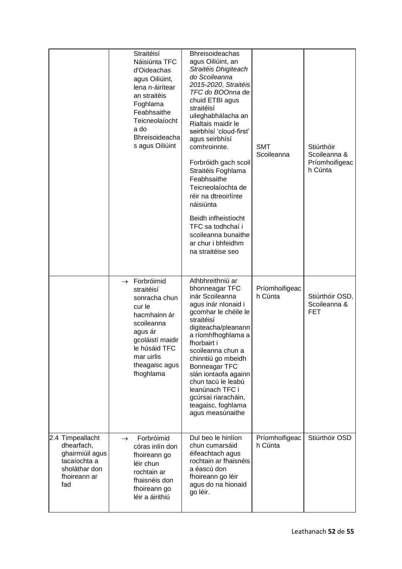|                                                                                                           | Straitéisí<br>Náisiúnta TFC<br>d'Oideachas<br>agus Oiliúint,<br>lena n-áirítear<br>an straitéis<br>Foghlama<br>Feabhsaithe<br>Teicneolaíocht<br>a do<br><b>Bhreisoideacha</b><br>s agus Oiliúint | <b>Bhreisoideachas</b><br>agus Oiliúint, an<br>Straitéis Dhigiteach<br>do Scoileanna<br>2015-2020, Straitéis<br>TFC do BOOnna de<br>chuid ETBI agus<br>straitéisí<br>uileghabhálacha an<br>Rialtais maidir le<br>seirbhísí 'cloud-first'<br>agus seirbhísí<br>comhroinnte.<br>Forbróidh gach scoil<br>Straitéis Foghlama<br>Feabhsaithe<br>Teicneolaíochta de<br>réir na dtreoirlínte<br>náisiúnta<br>Beidh infheistíocht<br>TFC sa todhchaí i<br>scoileanna bunaithe<br>ar chur i bhfeidhm<br>na straitéise seo | <b>SMT</b><br>Scoileanna  | Stiúrthóir<br>Scoileanna &<br>Príomhoifigeac<br>h Cúnta |
|-----------------------------------------------------------------------------------------------------------|--------------------------------------------------------------------------------------------------------------------------------------------------------------------------------------------------|------------------------------------------------------------------------------------------------------------------------------------------------------------------------------------------------------------------------------------------------------------------------------------------------------------------------------------------------------------------------------------------------------------------------------------------------------------------------------------------------------------------|---------------------------|---------------------------------------------------------|
|                                                                                                           | Forbróimid<br>$\rightarrow$<br>straitéisí<br>sonracha chun<br>cur le<br>hacmhainn ár<br>scoileanna<br>agus ár<br>gcoláistí maidir<br>le húsáid TFC<br>mar uirlis<br>theagaisc agus<br>fhoghlama  | Athbhreithniú ar<br>bhonneagar TFC<br>inár Scoileanna<br>agus inár nIonaid i<br>gcomhar le chéile le<br>straitéisí<br>digiteacha/pleanann<br>a ríomhfhoghlama a<br>fhorbairt i<br>scoileanna chun a<br>chinntiú go mbeidh<br><b>Bonneagar TFC</b><br>slán iontaofa againn<br>chun tacú le leabú<br>leanúnach TFC i<br>gcúrsaí riaracháin,<br>teagaisc, foghlama<br>agus measúnaithe                                                                                                                              | Príomhoifigeac<br>h Cúnta | Stiúrthóir OSD,<br>Scoileanna &<br><b>FET</b>           |
| 2.4 Timpeallacht<br>dhearfach,<br>ghairmiúil agus<br>tacaíochta a<br>sholáthar don<br>fhoireann ar<br>fad | Forbróimid<br>$\rightarrow$<br>córas inlín don<br>fhoireann go<br>léir chun<br>rochtain ar<br>fhaisnéis don<br>fhoireann go<br>léir a áirithiú                                                   | Dul beo le hinlíon<br>chun cumarsáid<br>éifeachtach agus<br>rochtain ar fhaisnéis<br>a éascú don<br>fhoireann go léir<br>agus do na hionaid<br>go léir.                                                                                                                                                                                                                                                                                                                                                          | Príomhoifigeac<br>h Cúnta | Stiúrthóir OSD                                          |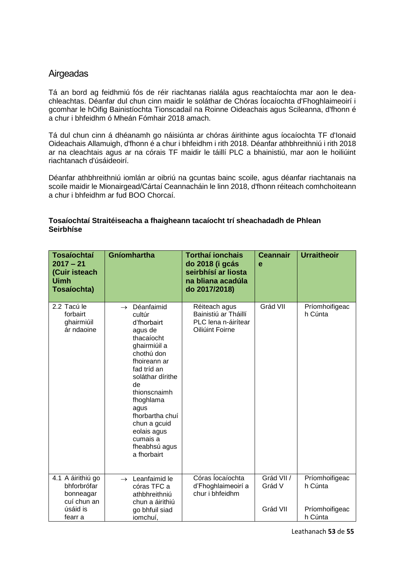## **Airgeadas**

Tá an bord ag feidhmiú fós de réir riachtanas rialála agus reachtaíochta mar aon le deachleachtas. Déanfar dul chun cinn maidir le soláthar de Chóras Íocaíochta d'Fhoghlaimeoirí i gcomhar le hOifig Bainistíochta Tionscadail na Roinne Oideachais agus Scileanna, d'fhonn é a chur i bhfeidhm ó Mheán Fómhair 2018 amach.

Tá dul chun cinn á dhéanamh go náisiúnta ar chóras áirithinte agus íocaíochta TF d'Ionaid Oideachais Allamuigh, d'fhonn é a chur i bhfeidhm i rith 2018. Déanfar athbhreithniú i rith 2018 ar na cleachtais agus ar na córais TF maidir le táillí PLC a bhainistiú, mar aon le hoiliúint riachtanach d'úsáideoirí.

Déanfar athbhreithniú iomlán ar oibriú na gcuntas bainc scoile, agus déanfar riachtanais na scoile maidir le Mionairgead/Cártaí Ceannacháin le linn 2018, d'fhonn réiteach comhchoiteann a chur i bhfeidhm ar fud BOO Chorcaí.

| <b>Tosaíochtaí</b><br>$2017 - 21$<br>(Cuir isteach<br><b>Uimh</b><br>Tosaíochta) | Gníomhartha                                                                                                                                                                                                                                                                                             | <b>Torthaí ionchais</b><br>do 2018 (i gcás<br>seirbhísí ar liosta<br>na bliana acadúla<br>do 2017/2018) | <b>Ceannair</b><br>e | <b>Urraitheoir</b>        |
|----------------------------------------------------------------------------------|---------------------------------------------------------------------------------------------------------------------------------------------------------------------------------------------------------------------------------------------------------------------------------------------------------|---------------------------------------------------------------------------------------------------------|----------------------|---------------------------|
| 2.2 Tacú le<br>forbairt<br>ghairmiúil<br>ár ndaoine                              | Déanfaimid<br>$\rightarrow$<br>cultúr<br>d'fhorbairt<br>agus de<br>thacaíocht<br>ghairmiúil a<br>chothú don<br>fhoireann ar<br>fad tríd an<br>soláthar dírithe<br>de<br>thionscnaimh<br>fhoghlama<br>agus<br>fhorbartha chuí<br>chun a gcuid<br>eolais agus<br>cumais a<br>fheabhsú agus<br>a fhorbairt | Réiteach agus<br>Bainistiú ar Tháillí<br>PLC lena n-áirítear<br>Oiliúint Foirne                         | Grád VII             | Príomhoifigeac<br>h Cúnta |
| 4.1 A áirithiú go<br>bhforbrófar                                                 | $\rightarrow$ Leanfaimid le<br>córas TFC a                                                                                                                                                                                                                                                              | Córas Íocaíochta<br>d'Fhoghlaimeoirí a                                                                  | Grád VII /<br>Grád V | Príomhoifigeac<br>h Cúnta |
| bonneagar<br>cuí chun an                                                         | athbhreithniú<br>chun a áirithiú                                                                                                                                                                                                                                                                        | chur i bhfeidhm                                                                                         |                      |                           |
| úsáid is<br>fearr a                                                              | go bhfuil siad<br>iomchuí,                                                                                                                                                                                                                                                                              |                                                                                                         | Grád VII             | Príomhoifigeac<br>h Cúnta |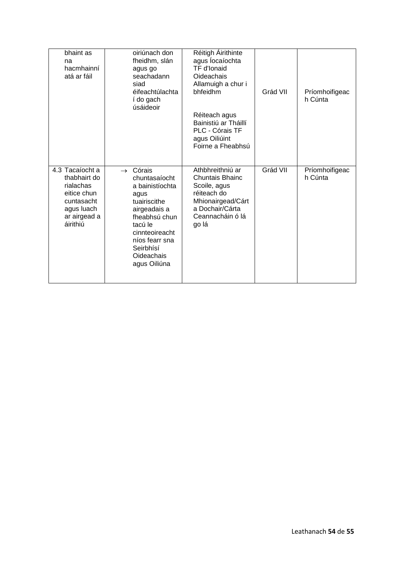| bhaint as<br>na<br>hacmhainní<br>atá ar fáil                                                                        | oiriúnach don<br>fheidhm, slán<br>agus go<br>seachadann<br>siad<br>éifeachtúlachta<br>í do gach<br>úsáideoir                                                                                                   | Réitigh Áirithinte<br>agus locaíochta<br>TF d'Ionaid<br>Oideachais<br>Allamuigh a chur i<br>bhfeidhm<br>Réiteach agus<br>Bainistiú ar Tháillí<br>PLC - Córais TF<br>agus Oiliúint<br>Foirne a Fheabhsú | Grád VII | Príomhoifigeac<br>h Cúnta |
|---------------------------------------------------------------------------------------------------------------------|----------------------------------------------------------------------------------------------------------------------------------------------------------------------------------------------------------------|--------------------------------------------------------------------------------------------------------------------------------------------------------------------------------------------------------|----------|---------------------------|
| 4.3 Tacaíocht a<br>thabhairt do<br>rialachas<br>eitice chun<br>cuntasacht<br>agus luach<br>ar airgead a<br>áirithiú | Córais<br>$\rightarrow$<br>chuntasaíocht<br>a bainistíochta<br>agus<br>tuairiscithe<br>airgeadais a<br>fheabhsú chun<br>tacú le<br>cinnteoireacht<br>níos fearr sna<br>Seirbhísí<br>Oideachais<br>agus Oiliúna | Athbhreithniú ar<br><b>Chuntais Bhainc</b><br>Scoile, agus<br>réiteach do<br>Mhionairgead/Cárt<br>a Dochair/Cárta<br>Ceannacháin ó lá<br>go lá                                                         | Grád VII | Príomhoifigeac<br>h Cúnta |